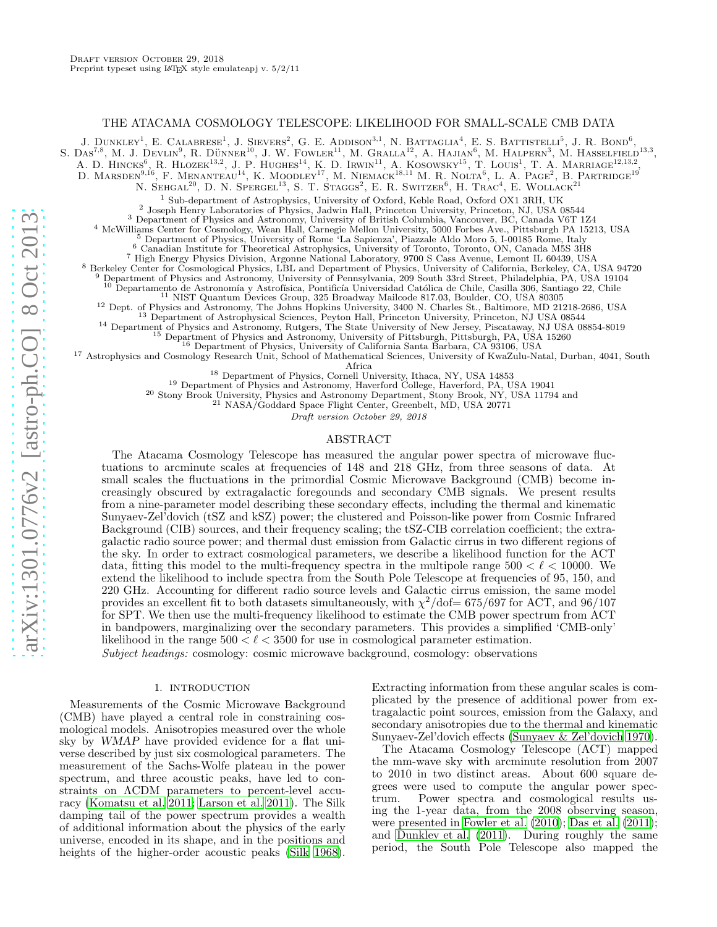#### THE ATACAMA COSMOLOGY TELESCOPE: LIKELIHOOD FOR SMALL-SCALE CMB DATA

J. DUNKLEY<sup>1</sup>, E. CALABRESE<sup>1</sup>, J. SIEVERS<sup>2</sup>, G. E. ADDISON<sup>3,1</sup>, N. BATTAGLIA<sup>4</sup>, E. S. BATTISTELLI<sup>5</sup>, J. R. BOND<sup>6</sup>,

S.  $\text{Das}^{7,8}$ , M. J. Devlin<sup>9</sup>, R. Dünner<sup>10</sup>, J. W. Fowler<sup>11</sup>, M. Gralla<sup>12</sup>, A. Hajian<sup>6</sup>, M. Halpern<sup>3</sup>, M. Hasselfield<sup>13,3</sup>,

A. D. HINCKS<sup>6</sup>, R. HLOZEK<sup>13,2</sup>, J. P. HUGHES<sup>14</sup>, K. D. IRWIN<sup>11</sup>, A. KOSOWSKY<sup>15</sup>, T. LOUIS<sup>1</sup>, T. A. MARRIAGE<sup>12,13,2</sup>, D. MARSDEN<sup>9,16</sup>, F. MENANTEAU<sup>14</sup>, K. MOODLEY<sup>17</sup>, M. NIEMACK<sup>18,11</sup> M. R. NOLTA<sup>6</sup>, L. A. PAGE<sup>2</sup>, B. PARTRIDGE<sup>19</sup>

N. SEHGAL<sup>20</sup>, D. N. SPERGEL<sup>13</sup>, S. T. STAGGS<sup>2</sup>, E. R. SWITZER<sup>6</sup>, H. TRAC<sup>4</sup>, E. WOLLACK<sup>21</sup>

<sup>1</sup> Sub-department of Astrophysics, University of Oxford, Keble Road, Oxford OX1 3RH, UK

<sup>2</sup> Joseph Henry Laboratories of Physics, Jadwin Hall, Princeton University, Princeton, NJ, USA 08544 <sup>3</sup> Department of Physics and Astronomy, University of British Columbia, Vancouver, BC, Canada V6T 1Z4

<sup>4</sup> McWilliams Center for Cosmology, Wean Hall, Carnegie Mellon University, 5000 Forbes Ave., Pittsburgh PA 15213, USA

<sup>5</sup> Department of Physics, University of Rome 'La Sapienza', Piazzale Aldo Moro 5, I-00185 Rome, Italy

<sup>6</sup> Canadian Institute for Theoretical Astrophysics, University of Toronto, Toronto, ON, Canada M5S 3H8

<sup>7</sup> High Energy Physics Division, Argonne National Laboratory, 9700 S Cass Avenue, Lemont IL 60439, USA

<sup>8</sup> Berkeley Center for Cosmological Physics, LBL and Department of Physics, University of California, Berkeley, CA, USA 94720

Department of Physics and Astronomy, University of Pennsylvania, 209 South 33rd Street, Philadelphia, PA, USA 19104

 $10$  Departamento de Astronomía y Astrofísica, Pontificía Universidad Católica de Chile, Casilla 306, Santiago 22, Chile

<sup>11</sup> NIST Quantum Devices Group, 325 Broadway Mailcode 817.03, Boulder, CO, USA 80305

<sup>12</sup> Dept. of Physics and Astronomy, The Johns Hopkins University, 3400 N. Charles St., Baltimore, MD 21218-2686, USA

<sup>13</sup> Department of Astrophysical Sciences, Peyton Hall, Princeton University, Princeton, NJ USA 08544

<sup>14</sup> Department of Physics and Astronomy, Rutgers, The State University of New Jersey, Piscataway, NJ USA 08854-8019

<sup>15</sup> Department of Physics and Astronomy, University of Pittsburgh, Pittsburgh, PA, USA 15260

<sup>16</sup> Department of Physics, University of California Santa Barbara, CA 93106, USA

<sup>17</sup> Astrophysics and Cosmology Research Unit, School of Mathematical Sciences, University of KwaZulu-Natal, Durban, 4041, South Africa

<sup>18</sup> Department of Physics, Cornell University, Ithaca, NY, USA 14853

<sup>19</sup> Department of Physics and Astronomy, Haverford College, Haverford, PA, USA 19041

<sup>20</sup> Stony Brook University, Physics and Astronomy Department, Stony Brook, NY, USA 11794 and

 $^{21}$  NASA/Goddard Space Flight Center, Greenbelt, MD, USA 20771

Draft version October 29, 2018

# ABSTRACT

The Atacama Cosmology Telescope has measured the angular power spectra of microwave fluctuations to arcminute scales at frequencies of 148 and 218 GHz, from three seasons of data. At small scales the fluctuations in the primordial Cosmic Microwave Background (CMB) become increasingly obscured by extragalactic foregounds and secondary CMB signals. We present results from a nine-parameter model describing these secondary effects, including the thermal and kinematic Sunyaev-Zel'dovich (tSZ and kSZ) power; the clustered and Poisson-like power from Cosmic Infrared Background (CIB) sources, and their frequency scaling; the tSZ-CIB correlation coefficient; the extragalactic radio source power; and thermal dust emission from Galactic cirrus in two different regions of the sky. In order to extract cosmological parameters, we describe a likelihood function for the ACT data, fitting this model to the multi-frequency spectra in the multipole range  $500 < \ell < 10000$ . We extend the likelihood to include spectra from the South Pole Telescope at frequencies of 95, 150, and 220 GHz. Accounting for different radio source levels and Galactic cirrus emission, the same model provides an excellent fit to both datasets simultaneously, with  $\chi^2/\text{dof}=675/697$  for ACT, and  $96/107$ for SPT. We then use the multi-frequency likelihood to estimate the CMB power spectrum from ACT in bandpowers, marginalizing over the secondary parameters. This provides a simplified 'CMB-only' likelihood in the range  $500 < \ell < 3500$  for use in cosmological parameter estimation.

Subject headings: cosmology: cosmic microwave background, cosmology: observations

## 1. INTRODUCTION

Measurements of the Cosmic Microwave Background (CMB) have played a central role in constraining cosmological models. Anisotropies measured over the whole sky by WMAP have provided evidence for a flat universe described by just six cosmological parameters. The measurement of the Sachs-Wolfe plateau in the power spectrum, and three acoustic peaks, have led to constraints on ΛCDM parameters to percent-level accuracy (Komatsu et al. 2011; Larson et al. 2011). The Silk damping tail of the power spectrum provides a wealth of additional information about the physics of the early universe, encoded in its shape, and in the positions and heights of the higher-order acoustic peaks [\(Silk 1968\)](#page-17-0).

Extracting information from these angular scales is complicated by the presence of additional power from extragalactic point sources, emission from the Galaxy, and secondary anisotropies due to the thermal and kinematic Sunyaev-Zel'dovich effects (Sunyaev & Zel'dovich 1970).

The Atacama Cosmology Telescope (ACT) mapped the mm-wave sky with arcminute resolution from 2007 to 2010 in two distinct areas. About 600 square degrees were used to compute the angular power spectrum. Power spectra and cosmological results using the 1-year data, from the 2008 observing season, were presented in Fowler et al. (2010); Das et al. (2011); and Dunkley et al. (2011). During roughly the same period, the South Pole Telescope also mapped the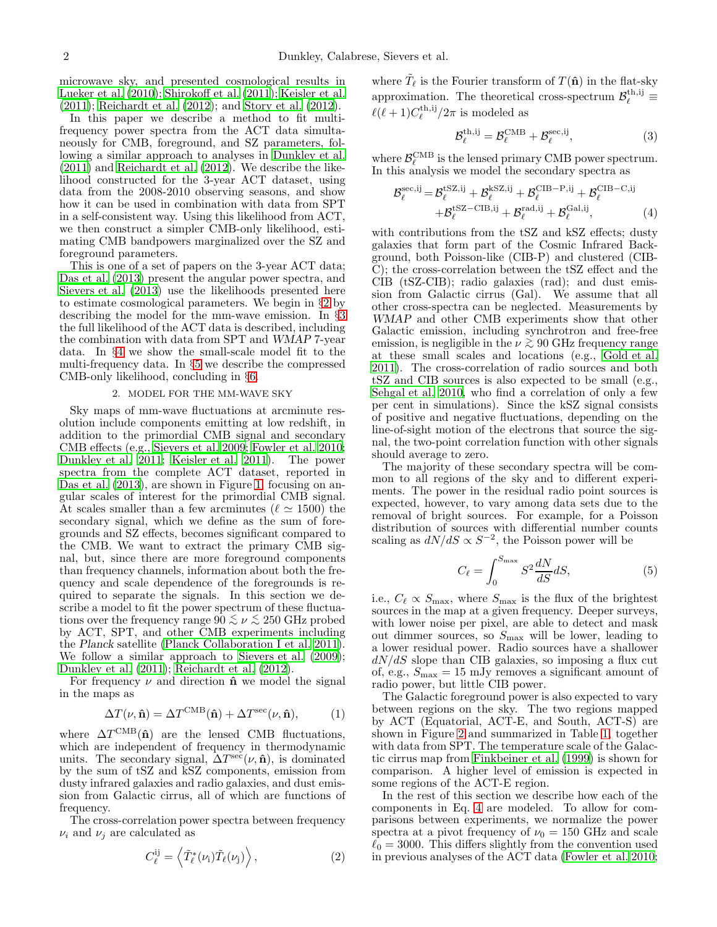microwave sky, and presented cosmological results in Lueker et al. (2010); Shirokoff et al. (2011); Keisler et al. (2011); Reichardt et al. (2012); and Story et al. (2012).

In this paper we describe a method to fit multifrequency power spectra from the ACT data simultaneously for CMB, foreground, and SZ parameters, following a similar approach to analyses in Dunkley et al. (2011) and Reichardt et al. (2012). We describe the likelihood constructed for the 3-year ACT dataset, using data from the 2008-2010 observing seasons, and show how it can be used in combination with data from SPT in a self-consistent way. Using this likelihood from ACT, we then construct a simpler CMB-only likelihood, estimating CMB bandpowers marginalized over the SZ and foreground parameters.

This is one of a set of papers on the 3-year ACT data; Das et al. (2013) present the angular power spectra, and Sievers et al. (2013) use the likelihoods presented here to estimate cosmological parameters. We begin in §[2](#page-1-0) by describing the model for the mm-wave emission. In §[3](#page-5-0) the full likelihood of the ACT data is described, including the combination with data from SPT and WMAP 7-year data. In §[4](#page-8-0) we show the small-scale model fit to the multi-frequency data. In §[5](#page-12-0) we describe the compressed CMB-only likelihood, concluding in §[6.](#page-14-0)

#### 2. MODEL FOR THE MM-WAVE SKY

<span id="page-1-0"></span>Sky maps of mm-wave fluctuations at arcminute resolution include components emitting at low redshift, in addition to the primordial CMB signal and secondary CMB effects (e.g., Sievers et al. 2009; Fowler et al. 2010; Dunkley et al. 2011; Keisler et al. 2011). The power spectra from the complete ACT dataset, reported in Das et al.  $(2013)$ , are shown in Figure [1,](#page-2-0) focusing on angular scales of interest for the primordial CMB signal. At scales smaller than a few arcminutes ( $\ell \approx 1500$ ) the secondary signal, which we define as the sum of foregrounds and SZ effects, becomes significant compared to the CMB. We want to extract the primary CMB signal, but, since there are more foreground components than frequency channels, information about both the frequency and scale dependence of the foregrounds is required to separate the signals. In this section we describe a model to fit the power spectrum of these fluctuations over the frequency range  $90 \lesssim \nu \lesssim 250$  GHz probed<br>by ACT, SPT, and other CMB experiments including by ACT, SPT, and other CMB experiments including the Planck satellite (Planck Collaboration I et al. 2011). We follow a similar approach to Sievers et al. (2009); Dunkley et al. (2011); Reichardt et al. (2012).

For frequency  $\nu$  and direction  $\hat{\mathbf{n}}$  we model the signal in the maps as

$$
\Delta T(\nu, \hat{\mathbf{n}}) = \Delta T^{\text{CMB}}(\hat{\mathbf{n}}) + \Delta T^{\text{sec}}(\nu, \hat{\mathbf{n}}), \quad (1)
$$

where  $\Delta T^{\text{CMB}}(\hat{\mathbf{n}})$  are the lensed CMB fluctuations, which are independent of frequency in thermodynamic units. The secondary signal,  $\Delta T^{\text{sec}}(\nu, \hat{\mathbf{n}})$ , is dominated by the sum of tSZ and kSZ components, emission from dusty infrared galaxies and radio galaxies, and dust emission from Galactic cirrus, all of which are functions of frequency.

The cross-correlation power spectra between frequency  $\nu_i$  and  $\nu_j$  are calculated as

$$
C_{\ell}^{ij} = \left\langle \tilde{T}_{\ell}^*(\nu_i) \tilde{T}_{\ell}(\nu_j) \right\rangle, \tag{2}
$$

where  $\tilde{T}_{\ell}$  is the Fourier transform of  $T(\hat{\mathbf{n}})$  in the flat-sky approximation. The theoretical cross-spectrum  $\mathcal{B}_{\ell}^{\text{th},ij} \equiv$  $\ell(\ell+1)C_{\ell}^{\text{th,ij}}/2\pi$  is modeled as

$$
\mathcal{B}_{\ell}^{\text{th,ij}} = \mathcal{B}_{\ell}^{\text{CMB}} + \mathcal{B}_{\ell}^{\text{sec,ij}},\tag{3}
$$

where  $\mathcal{B}_{\ell}^{\text{CMB}}$  is the lensed primary CMB power spectrum. In this analysis we model the secondary spectra as

<span id="page-1-1"></span>
$$
\mathcal{B}_{\ell}^{\text{sec},\text{ij}} = \mathcal{B}_{\ell}^{\text{tSZ},\text{ij}} + \mathcal{B}_{\ell}^{\text{kSZ},\text{ij}} + \mathcal{B}_{\ell}^{\text{CIB-P},\text{ij}} + \mathcal{B}_{\ell}^{\text{CIB-C},\text{ij}} + \mathcal{B}_{\ell}^{\text{tSZ-CE},\text{ij}} + \mathcal{B}_{\ell}^{\text{rad},\text{ij}} + \mathcal{B}_{\ell}^{\text{Gal},\text{ij}},\tag{4}
$$

with contributions from the tSZ and kSZ effects; dusty galaxies that form part of the Cosmic Infrared Background, both Poisson-like (CIB-P) and clustered (CIB-C); the cross-correlation between the tSZ effect and the CIB (tSZ-CIB); radio galaxies (rad); and dust emission from Galactic cirrus (Gal). We assume that all other cross-spectra can be neglected. Measurements by WMAP and other CMB experiments show that other Galactic emission, including synchrotron and free-free emission, is negligible in the  $\nu \gtrsim 90$  GHz frequency range at these small scales and locations (e.g., Gold et al. 2011). The cross-correlation of radio sources and both tSZ and CIB sources is also expected to be small (e.g., Sehgal et al. 2010, who find a correlation of only a few per cent in simulations). Since the kSZ signal consists of positive and negative fluctuations, depending on the line-of-sight motion of the electrons that source the signal, the two-point correlation function with other signals should average to zero.

The majority of these secondary spectra will be common to all regions of the sky and to different experiments. The power in the residual radio point sources is expected, however, to vary among data sets due to the removal of bright sources. For example, for a Poisson distribution of sources with differential number counts scaling as  $dN/dS \propto S^{-2}$ , the Poisson power will be

$$
C_{\ell} = \int_0^{S_{\text{max}}} S^2 \frac{dN}{dS} dS,\tag{5}
$$

i.e.,  $C_{\ell} \propto S_{\text{max}}$ , where  $S_{\text{max}}$  is the flux of the brightest sources in the map at a given frequency. Deeper surveys, with lower noise per pixel, are able to detect and mask out dimmer sources, so  $S_{\text{max}}$  will be lower, leading to a lower residual power. Radio sources have a shallower  $dN/dS$  slope than CIB galaxies, so imposing a flux cut of, e.g.,  $S_{\text{max}} = 15$  mJy removes a significant amount of radio power, but little CIB power.

The Galactic foreground power is also expected to vary between regions on the sky. The two regions mapped by ACT (Equatorial, ACT-E, and South, ACT-S) are shown in Figure [2](#page-3-0) and summarized in Table [1,](#page-2-1) together with data from SPT. The temperature scale of the Galactic cirrus map from Finkbeiner et al. (1999) is shown for comparison. A higher level of emission is expected in some regions of the ACT-E region.

In the rest of this section we describe how each of the components in Eq. [4](#page-1-1) are modeled. To allow for comparisons between experiments, we normalize the power spectra at a pivot frequency of  $\nu_0 = 150$  GHz and scale  $\ell_0 = 3000$ . This differs slightly from the convention used in previous analyses of the ACT data (Fowler et al. 2010;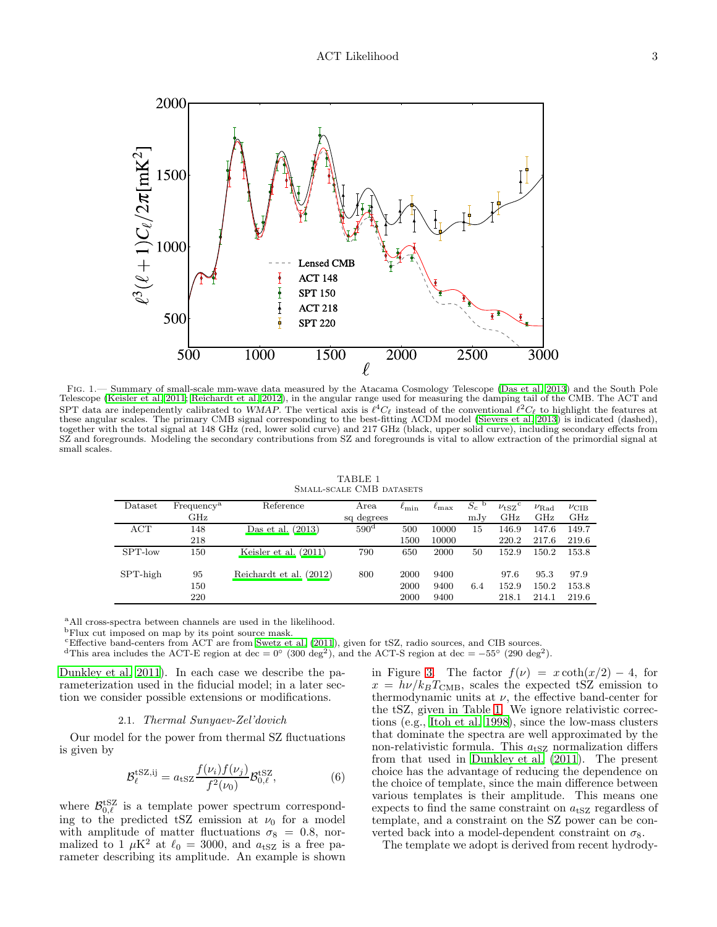

<span id="page-2-0"></span>Fig. 1.— Summary of small-scale mm-wave data measured by the Atacama Cosmology Telescope (Das et al. 2013) and the South Pole Telescope (Keisler et al. 2011; Reichardt et al. 2012), in the angular range used for measuring the damping tail of the CMB. The ACT and SPT data are independently calibrated to WMAP. The vertical axis is  $\ell^4C_{\ell}$  instead of the conventional  $\ell^2C_{\ell}$  to highlight the features at these angular scales. The primary CMB signal corresponding to the best-fitting ΛCDM model (Sievers et al. 2013) is indicated (dashed), together with the total signal at 148 GHz (red, lower solid curve) and 217 GHz (black, upper solid curve), including secondary effects from SZ and foregrounds. Modeling the secondary contributions from SZ and foregrounds is vital to allow extraction of the primordial signal at small scales.

TABLE 1 SMALL-SCALE CMB DATASETS

<span id="page-2-1"></span>

| Dataset     | Frequency <sup>a</sup> | Reference               | Area             | $\ell_{\rm min}$ | $\ell_{\rm max}$ | $S_c$<br>b | $\nu$ <sub>tSZ</sub> <sup>c</sup> | $\nu_{\rm Rad}$ | $\nu$ CIB |
|-------------|------------------------|-------------------------|------------------|------------------|------------------|------------|-----------------------------------|-----------------|-----------|
|             | $\rm GHz$              |                         | sq degrees       |                  |                  | mJv        | GHz                               | GHz             | GHz       |
| ACT         | 148                    | Das et al. $(2013)$     | 590 <sup>d</sup> | 500              | 10000            | 15         | 146.9                             | 147.6           | 149.7     |
|             | 218                    |                         |                  | 1500             | 10000            |            | 220.2                             | 217.6           | 219.6     |
| SPT-low     | 150                    | Keisler et al. $(2011)$ | 790              | 650              | 2000             | 50         | 152.9                             | 150.2           | 153.8     |
| $SPT$ -high | 95                     | Reichardt et al. (2012) | 800              | 2000             | 9400             |            | 97.6                              | 95.3            | 97.9      |
|             | 150                    |                         |                  | 2000             | 9400             | 6.4        | 152.9                             | 150.2           | 153.8     |
|             | 220                    |                         |                  | 2000             | 9400             |            | 218.1                             | 214.1           | 219.6     |

<sup>a</sup>All cross-spectra between channels are used in the likelihood.

<sup>b</sup>Flux cut imposed on map by its point source mask.

<sup>c</sup>Effective band-centers from ACT are from Swetz et al. (2011), given for tSZ, radio sources, and CIB sources.

<sup>d</sup>This area includes the ACT-E region at dec =  $0^{\circ}$  (300 deg<sup>2</sup>), and the ACT-S region at dec =  $-55^{\circ}$  (290 deg<sup>2</sup>).

Dunkley et al. 2011). In each case we describe the parameterization used in the fiducial model; in a later section we consider possible extensions or modifications.

## 2.1. Thermal Sunyaev-Zel'dovich

<span id="page-2-2"></span>Our model for the power from thermal SZ fluctuations is given by

$$
\mathcal{B}_{\ell}^{\text{tSZ},ij} = a_{\text{tSZ}} \frac{f(\nu_i) f(\nu_j)}{f^2(\nu_0)} \mathcal{B}_{0,\ell}^{\text{tSZ}},\tag{6}
$$

where  $\mathcal{B}_{0,\ell}^{\text{tSZ}}$  is a template power spectrum corresponding to the predicted tSZ emission at  $\nu_0$  for a model with amplitude of matter fluctuations  $\sigma_8 = 0.8$ , normalized to 1  $\mu$ K<sup>2</sup> at  $\ell_0 = 3000$ , and  $a_{\text{tSZ}}$  is a free parameter describing its amplitude. An example is shown in Figure [3.](#page-3-1) The factor  $f(\nu) = x \coth(x/2) - 4$ , for  $x = h\nu/k_BT<sub>CMB</sub>$ , scales the expected tSZ emission to thermodynamic units at  $\nu$ , the effective band-center for the tSZ, given in Table [1.](#page-2-1) We ignore relativistic corrections (e.g., Itoh et al. 1998), since the low-mass clusters that dominate the spectra are well approximated by the non-relativistic formula. This  $a_{\text{tSZ}}$  normalization differs from that used in Dunkley et al. (2011). The present choice has the advantage of reducing the dependence on the choice of template, since the main difference between various templates is their amplitude. This means one expects to find the same constraint on  $a_{\text{tSZ}}$  regardless of template, and a constraint on the SZ power can be converted back into a model-dependent constraint on  $\sigma_8$ .

The template we adopt is derived from recent hydrody-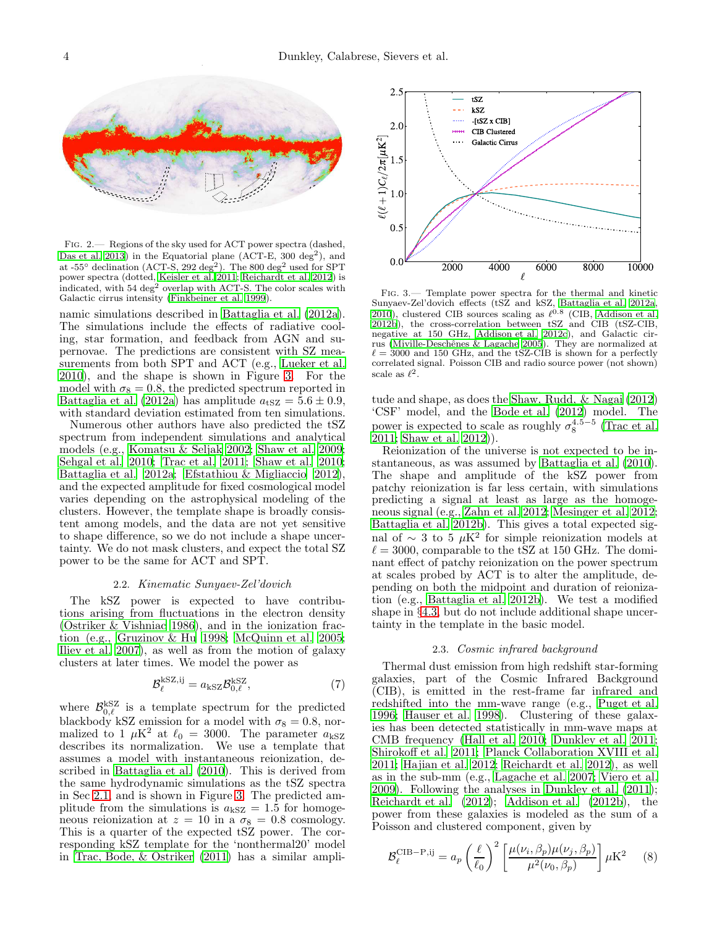

<span id="page-3-0"></span>Fig. 2.— Regions of the sky used for ACT power spectra (dashed, Das et al. 2013) in the Equatorial plane (ACT-E, 300 deg<sup>2</sup>), and at -55° declination (ACT-S, 292 deg<sup>2</sup>). The 800 deg<sup>2</sup> used for SPT power spectra (dotted, Keisler et al. 2011; Reichardt et al. 2012) is indicated, with  $54 \text{ deg}^2$  overlap with ACT-S. The color scales with Galactic cirrus intensity (Finkbeiner et al. 1999).

namic simulations described in Battaglia et al. (2012a). The simulations include the effects of radiative cooling, star formation, and feedback from AGN and supernovae. The predictions are consistent with SZ measurements from both SPT and ACT (e.g., Lueker et al. 2010), and the shape is shown in Figure [3.](#page-3-1) For the model with  $\sigma_8 = 0.8$ , the predicted spectrum reported in Battaglia et al. (2012a) has amplitude  $a_{\text{tSZ}} = 5.6 \pm 0.9$ , with standard deviation estimated from ten simulations.

Numerous other authors have also predicted the tSZ spectrum from independent simulations and analytical models (e.g., Komatsu & Seljak 2002; Shaw et al. 2009; Sehgal et al. 2010; Trac et al. 2011; Shaw et al. 2010; Battaglia et al. 2012a; Efstathiou & Migliaccio 2012), and the expected amplitude for fixed cosmological model varies depending on the astrophysical modeling of the clusters. However, the template shape is broadly consistent among models, and the data are not yet sensitive to shape difference, so we do not include a shape uncertainty. We do not mask clusters, and expect the total SZ power to be the same for ACT and SPT.

### 2.2. Kinematic Sunyaev-Zel'dovich

The kSZ power is expected to have contributions arising from fluctuations in the electron density (Ostriker & Vishniac 1986), and in the ionization fraction (e.g., Gruzinov & Hu 1998; McQuinn et al. 2005; Iliev et al. 2007), as well as from the motion of galaxy clusters at later times. We model the power as

$$
\mathcal{B}_{\ell}^{\text{kSZ},ij} = a_{\text{kSZ}} \mathcal{B}_{0,\ell}^{\text{kSZ}},\tag{7}
$$

where  $\mathcal{B}_{0,\ell}^{\text{kSZ}}$  is a template spectrum for the predicted blackbody kSZ emission for a model with  $\sigma_8 = 0.8$ , normalized to 1  $\mu$ K<sup>2</sup> at  $\ell_0$  = 3000. The parameter  $a_{\rm kSZ}$ describes its normalization. We use a template that assumes a model with instantaneous reionization, described in Battaglia et al. (2010). This is derived from the same hydrodynamic simulations as the tSZ spectra in Sec [2.1,](#page-2-2) and is shown in Figure [3.](#page-3-1) The predicted amplitude from the simulations is  $a_{\rm kSZ} = 1.5$  for homogeneous reionization at  $z = 10$  in a  $\sigma_8 = 0.8$  cosmology. This is a quarter of the expected tSZ power. The corresponding kSZ template for the 'nonthermal20' model in Trac, Bode, & Ostriker (2011) has a similar ampli-



<span id="page-3-1"></span>Fig. 3.— Template power spectra for the thermal and kinetic Sunyaev-Zel'dovich effects (tSZ and kSZ, Battaglia et al. 2012a, 2010), clustered CIB sources scaling as  $\ell^{0.8}$  (CIB, Addison et al. 2012b), the cross-correlation between tSZ and CIB (tSZ-CIB, negative at 150 GHz, Addison et al. 2012c), and Galactic cirrus (Miville-Deschênes & Lagache 2005). They are normalized at  $\ell = 3000$  and 150 GHz, and the tSZ-CIB is shown for a perfectly correlated signal. Poisson CIB and radio source power (not shown) scale as  $\ell^2$ .

tude and shape, as does the Shaw, Rudd, & Nagai (2012) 'CSF' model, and the Bode et al. (2012) model. The power is expected to scale as roughly  $\sigma_8^{4.5-5}$  (Trac et al. 2011; Shaw et al. 2012)).

Reionization of the universe is not expected to be instantaneous, as was assumed by Battaglia et al. (2010). The shape and amplitude of the kSZ power from patchy reionization is far less certain, with simulations predicting a signal at least as large as the homogeneous signal (e.g., Zahn et al. 2012; Mesinger et al. 2012; Battaglia et al. 2012b). This gives a total expected signal of ∼ 3 to 5  $\mu$ K<sup>2</sup> for simple reionization models at  $\ell = 3000$ , comparable to the tSZ at 150 GHz. The dominant effect of patchy reionization on the power spectrum at scales probed by ACT is to alter the amplitude, depending on both the midpoint and duration of reionization (e.g., Battaglia et al. 2012b). We test a modified shape in §[4.3,](#page-10-0) but do not include additional shape uncertainty in the template in the basic model.

#### 2.3. Cosmic infrared background

<span id="page-3-2"></span>Thermal dust emission from high redshift star-forming galaxies, part of the Cosmic Infrared Background (CIB), is emitted in the rest-frame far infrared and redshifted into the mm-wave range (e.g., Puget et al. 1996; Hauser et al. 1998). Clustering of these galaxies has been detected statistically in mm-wave maps at CMB frequency (Hall et al. 2010; Dunkley et al. 2011; Shirokoff et al. 2011; Planck Collaboration XVIII et al. 2011; Hajian et al. 2012; Reichardt et al. 2012), as well as in the sub-mm (e.g., Lagache et al. 2007; Viero et al. 2009). Following the analyses in Dunkley et al. (2011); Reichardt et al. (2012); Addison et al. (2012b), the power from these galaxies is modeled as the sum of a Poisson and clustered component, given by

$$
\mathcal{B}_{\ell}^{\text{CIB-P},ij} = a_p \left(\frac{\ell}{\ell_0}\right)^2 \left[\frac{\mu(\nu_i, \beta_p)\mu(\nu_j, \beta_p)}{\mu^2(\nu_0, \beta_p)}\right] \mu \mathcal{K}^2 \tag{8}
$$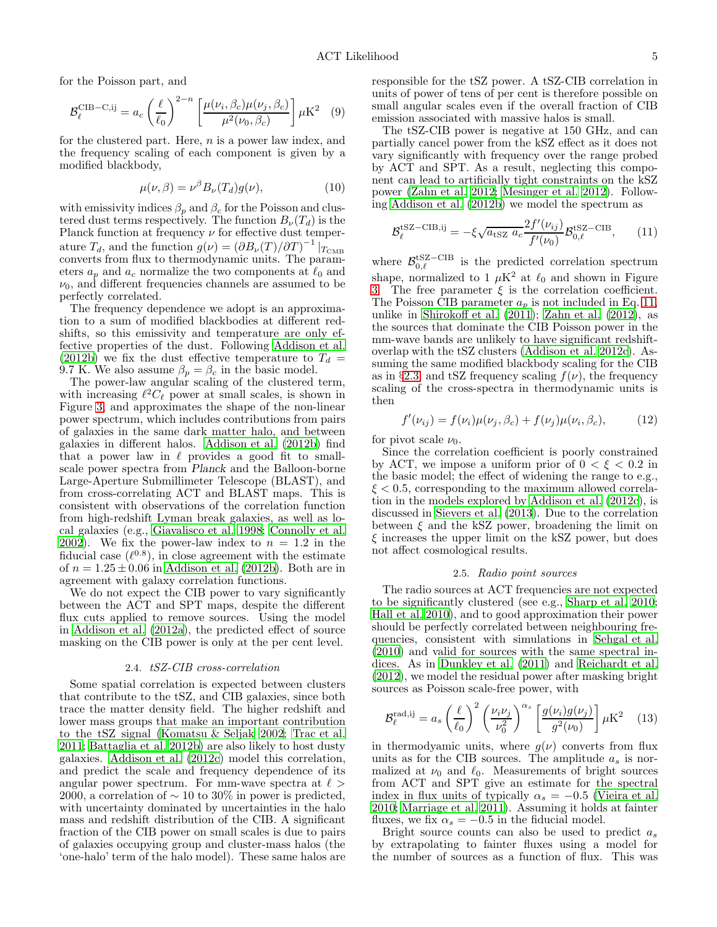for the Poisson part, and

$$
\mathcal{B}_{\ell}^{\text{CIB}-\text{C},\text{ij}} = a_c \left(\frac{\ell}{\ell_0}\right)^{2-n} \left[\frac{\mu(\nu_i, \beta_c)\mu(\nu_j, \beta_c)}{\mu^2(\nu_0, \beta_c)}\right] \mu \text{K}^2 \quad (9)
$$

for the clustered part. Here,  $n$  is a power law index, and the frequency scaling of each component is given by a modified blackbody,

$$
\mu(\nu,\beta) = \nu^{\beta} B_{\nu}(T_d) g(\nu), \qquad (10)
$$

with emissivity indices  $\beta_p$  and  $\beta_c$  for the Poisson and clustered dust terms respectively. The function  $B_{\nu}(T_d)$  is the Planck function at frequency  $\nu$  for effective dust temperature  $T_d$ , and the function  $g(\nu) = (\partial B_\nu(T)/\partial T)^{-1} |_{T_{\text{CMB}}}$ converts from flux to thermodynamic units. The parameters  $a_p$  and  $a_c$  normalize the two components at  $\ell_0$  and  $\nu_0$ , and different frequencies channels are assumed to be perfectly correlated.

The frequency dependence we adopt is an approximation to a sum of modified blackbodies at different redshifts, so this emissivity and temperature are only effective properties of the dust. Following Addison et al. (2012b) we fix the dust effective temperature to  $T_d =$ 9.7 K. We also assume  $\beta_p = \beta_c$  in the basic model.

The power-law angular scaling of the clustered term, with increasing  $\ell^2 C_{\ell}$  power at small scales, is shown in Figure [3,](#page-3-1) and approximates the shape of the non-linear power spectrum, which includes contributions from pairs of galaxies in the same dark matter halo, and between galaxies in different halos. Addison et al. (2012b) find that a power law in  $\ell$  provides a good fit to smallscale power spectra from Planck and the Balloon-borne Large-Aperture Submillimeter Telescope (BLAST), and from cross-correlating ACT and BLAST maps. This is consistent with observations of the correlation function from high-redshift Lyman break galaxies, as well as local galaxies (e.g., Giavalisco et al. 1998; Connolly et al. 2002). We fix the power-law index to  $n = 1.2$  in the fiducial case  $(\ell^{0.8})$ , in close agreement with the estimate of  $n = 1.25 \pm 0.06$  in Addison et al. (2012b). Both are in agreement with galaxy correlation functions.

We do not expect the CIB power to vary significantly between the ACT and SPT maps, despite the different flux cuts applied to remove sources. Using the model in Addison et al. (2012a), the predicted effect of source masking on the CIB power is only at the per cent level.

### 2.4. tSZ-CIB cross-correlation

Some spatial correlation is expected between clusters that contribute to the tSZ, and CIB galaxies, since both trace the matter density field. The higher redshift and lower mass groups that make an important contribution to the tSZ signal (Komatsu & Seljak 2002; Trac et al. 2011; Battaglia et al. 2012b) are also likely to host dusty galaxies. Addison et al. (2012c) model this correlation, and predict the scale and frequency dependence of its angular power spectrum. For mm-wave spectra at  $\ell >$ 2000, a correlation of  $\sim$  10 to 30% in power is predicted, with uncertainty dominated by uncertainties in the halo mass and redshift distribution of the CIB. A significant fraction of the CIB power on small scales is due to pairs of galaxies occupying group and cluster-mass halos (the 'one-halo' term of the halo model). These same halos are responsible for the tSZ power. A tSZ-CIB correlation in units of power of tens of per cent is therefore possible on small angular scales even if the overall fraction of CIB emission associated with massive halos is small.

The tSZ-CIB power is negative at 150 GHz, and can partially cancel power from the kSZ effect as it does not vary significantly with frequency over the range probed by ACT and SPT. As a result, neglecting this component can lead to artificially tight constraints on the kSZ power (Zahn et al. 2012; Mesinger et al. 2012). Following Addison et al. (2012b) we model the spectrum as

<span id="page-4-0"></span>
$$
\mathcal{B}_{\ell}^{\text{tSZ-CIB},ij} = -\xi \sqrt{a_{\text{tSZ}}} \frac{2f'(\nu_{ij})}{f'(\nu_0)} \mathcal{B}_{0,\ell}^{\text{tSZ-CIB}},\qquad(11)
$$

where  $\mathcal{B}_{0,\ell}^{\text{tSZ-CIB}}$  is the predicted correlation spectrum shape, normalized to 1  $\mu$ K<sup>2</sup> at  $\ell_0$  and shown in Figure [3.](#page-3-1) The free parameter  $\xi$  is the correlation coefficient. The Poisson CIB parameter  $a_p$  is not included in Eq. [11,](#page-4-0) unlike in Shirokoff et al. (2011); Zahn et al. (2012), as the sources that dominate the CIB Poisson power in the mm-wave bands are unlikely to have significant redshiftoverlap with the tSZ clusters (Addison et al. 2012c). Assuming the same modified blackbody scaling for the CIB as in §[2.3,](#page-3-2) and tSZ frequency scaling  $f(\nu)$ , the frequency scaling of the cross-spectra in thermodynamic units is then

$$
f'(\nu_{ij}) = f(\nu_i)\mu(\nu_j, \beta_c) + f(\nu_j)\mu(\nu_i, \beta_c), \quad (12)
$$

for pivot scale  $\nu_0$ .

Since the correlation coefficient is poorly constrained by ACT, we impose a uniform prior of  $0 < \xi < 0.2$  in the basic model; the effect of widening the range to e.g.,  $\xi < 0.5$ , corresponding to the maximum allowed correlation in the models explored by Addison et al. (2012c), is discussed in Sievers et al. (2013). Due to the correlation between  $\xi$  and the kSZ power, broadening the limit on  $\xi$  increases the upper limit on the kSZ power, but does not affect cosmological results.

#### 2.5. Radio point sources

The radio sources at ACT frequencies are not expected to be significantly clustered (see e.g., Sharp et al. 2010; Hall et al. 2010), and to good approximation their power should be perfectly correlated between neighbouring frequencies, consistent with simulations in Sehgal et al. (2010) and valid for sources with the same spectral indices. As in Dunkley et al. (2011) and Reichardt et al. (2012), we model the residual power after masking bright sources as Poisson scale-free power, with

$$
\mathcal{B}_{\ell}^{\text{rad},\text{ij}} = a_s \left(\frac{\ell}{\ell_0}\right)^2 \left(\frac{\nu_i \nu_j}{\nu_0^2}\right)^{\alpha_s} \left[\frac{g(\nu_i)g(\nu_j)}{g^2(\nu_0)}\right] \mu \text{K}^2 \quad (13)
$$

in thermodyamic units, where  $g(\nu)$  converts from flux units as for the CIB sources. The amplitude  $a_s$  is normalized at  $\nu_0$  and  $\ell_0$ . Measurements of bright sources from ACT and SPT give an estimate for the spectral index in flux units of typically  $\alpha_s = -0.5$  (Vieira et al. 2010; Marriage et al. 2011). Assuming it holds at fainter fluxes, we fix  $\alpha_s = -0.5$  in the fiducial model.

Bright source counts can also be used to predict  $a_s$ by extrapolating to fainter fluxes using a model for the number of sources as a function of flux. This was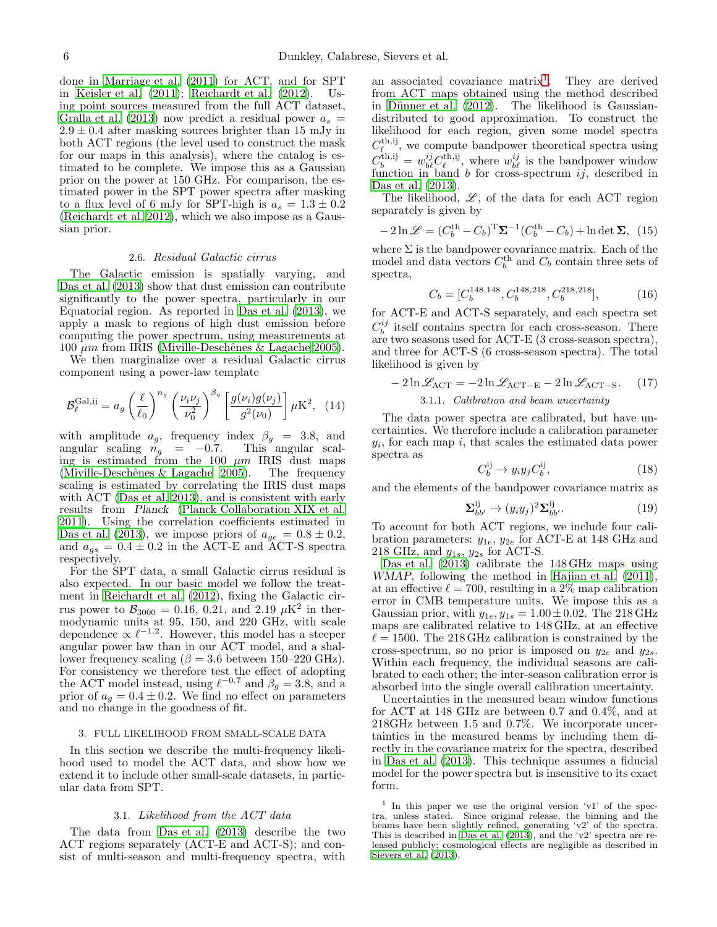done in Marriage et al. (2011) for ACT, and for SPT in Keisler et al. (2011); Reichardt et al. (2012). Using point sources measured from the full ACT dataset, Gralla et al. (2013) now predict a residual power  $a_s =$  $2.9 \pm 0.4$  after masking sources brighter than 15 mJy in both ACT regions (the level used to construct the mask for our maps in this analysis), where the catalog is estimated to be complete. We impose this as a Gaussian prior on the power at 150 GHz. For comparison, the estimated power in the SPT power spectra after masking to a flux level of 6 mJy for SPT-high is  $a_s = 1.3 \pm 0.2$ (Reichardt et al. 2012), which we also impose as a Gaussian prior.

### 2.6. Residual Galactic cirrus

The Galactic emission is spatially varying, and Das et al. (2013) show that dust emission can contribute significantly to the power spectra, particularly in our Equatorial region. As reported in Das et al. (2013), we apply a mask to regions of high dust emission before computing the power spectrum, using measurements at 100  $\mu$ m from IRIS (Miville-Deschênes & Lagache 2005).

We then marginalize over a residual Galactic cirrus component using a power-law template

$$
\mathcal{B}_{\ell}^{\text{Gal},\text{ij}} = a_g \left(\frac{\ell}{\ell_0}\right)^{n_g} \left(\frac{\nu_i \nu_j}{\nu_0^2}\right)^{\beta_g} \left[\frac{g(\nu_i)g(\nu_j)}{g^2(\nu_0)}\right] \mu \text{K}^2, \tag{14}
$$

with amplitude  $a_g$ , frequency index  $\beta_g = 3.8$ , and angular scaling  $n_g = -0.7$ . This angular scaling is estimated from the 100  $\mu$ m IRIS dust maps (Miville-Deschênes  $&$  Lagache 2005). The frequency scaling is estimated by correlating the IRIS dust maps with ACT (Das et al. 2013), and is consistent with early results from Planck (Planck Collaboration XIX et al. 2011). Using the correlation coefficients estimated in Das et al. (2013), we impose priors of  $a_{ge} = 0.8 \pm 0.2$ , and  $a_{gs} = 0.4 \pm 0.2$  in the ACT-E and ACT-S spectra respectively.

For the SPT data, a small Galactic cirrus residual is also expected. In our basic model we follow the treatment in Reichardt et al. (2012), fixing the Galactic cirrus power to  $B_{3000} = 0.16, 0.21,$  and  $2.19 \mu K^2$  in thermodynamic units at 95, 150, and 220 GHz, with scale dependence  $\propto \ell^{-1.2}$ . However, this model has a steeper angular power law than in our ACT model, and a shallower frequency scaling ( $\beta = 3.6$  between 150–220 GHz). For consistency we therefore test the effect of adopting the ACT model instead, using  $\ell^{-0.7}$  and  $\beta_g = 3.8$ , and a prior of  $a_g = 0.4 \pm 0.2$ . We find no effect on parameters and no change in the goodness of fit.

## <span id="page-5-0"></span>3. FULL LIKELIHOOD FROM SMALL-SCALE DATA

In this section we describe the multi-frequency likelihood used to model the ACT data, and show how we extend it to include other small-scale datasets, in particular data from SPT.

#### 3.1. Likelihood from the ACT data

The data from Das et al. (2013) describe the two ACT regions separately (ACT-E and ACT-S); and consist of multi-season and multi-frequency spectra, with

an associated covariance matrix<sup>[1](#page-5-1)</sup>. They are derived from ACT maps obtained using the method described in Dünner et al.  $(2012)$ . The likelihood is Gaussiandistributed to good approximation. To construct the likelihood for each region, given some model spectra  $C_{\ell}^{\text{th,ij}}$ , we compute bandpower theoretical spectra using  $C_b^{\text{th,ij}} = w_{b\ell}^{ij} C_{\ell}^{\text{th,ij}}$ , where  $w_{b\ell}^{ij}$  is the bandpower window function in band  $b$  for cross-spectrum  $ij$ , described in Das et al. (2013).

The likelihood,  $\mathscr{L}$ , of the data for each ACT region separately is given by

<span id="page-5-2"></span>
$$
-2\ln \mathcal{L} = (C_b^{\text{th}} - C_b)^{\text{T}} \Sigma^{-1} (C_b^{\text{th}} - C_b) + \ln \det \Sigma, \tag{15}
$$

where  $\Sigma$  is the bandpower covariance matrix. Each of the model and data vectors  $C_b^{\text{th}}$  and  $C_b$  contain three sets of spectra,

$$
C_b = [C_b^{148,148}, C_b^{148,218}, C_b^{218,218}], \tag{16}
$$

for ACT-E and ACT-S separately, and each spectra set  $C_b^{ij}$  itself contains spectra for each cross-season. There are two seasons used for ACT-E (3 cross-season spectra), and three for ACT-S (6 cross-season spectra). The total likelihood is given by

<span id="page-5-3"></span>
$$
-2\ln\mathcal{L}_{\text{ACT}} = -2\ln\mathcal{L}_{\text{ACT-E}} - 2\ln\mathcal{L}_{\text{ACT-S}}.\tag{17}
$$

# 3.1.1. Calibration and beam uncertainty

The data power spectra are calibrated, but have uncertainties. We therefore include a calibration parameter  $y_i$ , for each map i, that scales the estimated data power spectra as

$$
C_b^{ij} \to y_i y_j C_b^{ij},\tag{18}
$$

and the elements of the bandpower covariance matrix as

$$
\Sigma_{bb'}^{ij} \rightarrow (y_i y_j)^2 \Sigma_{bb'}^{ij}.
$$
 (19)

To account for both ACT regions, we include four calibration parameters:  $y_{1e}$ ,  $y_{2e}$  for ACT-E at 148 GHz and 218 GHz, and  $y_{1s}$ ,  $y_{2s}$  for ACT-S.

Das et al. (2013) calibrate the 148 GHz maps using WMAP, following the method in Hajian et al. (2011), at an effective  $\ell = 700$ , resulting in a 2\% map calibration error in CMB temperature units. We impose this as a Gaussian prior, with  $y_{1e}$ ,  $y_{1s} = 1.00 \pm 0.02$ . The 218 GHz maps are calibrated relative to 148 GHz, at an effective  $\ell = 1500$ . The 218 GHz calibration is constrained by the cross-spectrum, so no prior is imposed on  $y_{2e}$  and  $y_{2s}$ . Within each frequency, the individual seasons are calibrated to each other; the inter-season calibration error is absorbed into the single overall calibration uncertainty.

Uncertainties in the measured beam window functions for ACT at 148 GHz are between 0.7 and 0.4%, and at 218GHz between 1.5 and 0.7%. We incorporate uncertainties in the measured beams by including them directly in the covariance matrix for the spectra, described in Das et al. (2013). This technique assumes a fiducial model for the power spectra but is insensitive to its exact form.

<span id="page-5-1"></span><sup>1</sup> In this paper we use the original version 'v1' of the spectra, unless stated. Since original release, the binning and the beams have been slightly refined, generating 'v2' of the spectra. This is described in  $\overline{D}$  as et al.  $(2013)$ , and the 'v2' spectra are released publicly; cosmological effects are negligible as described in Sievers et al. (2013).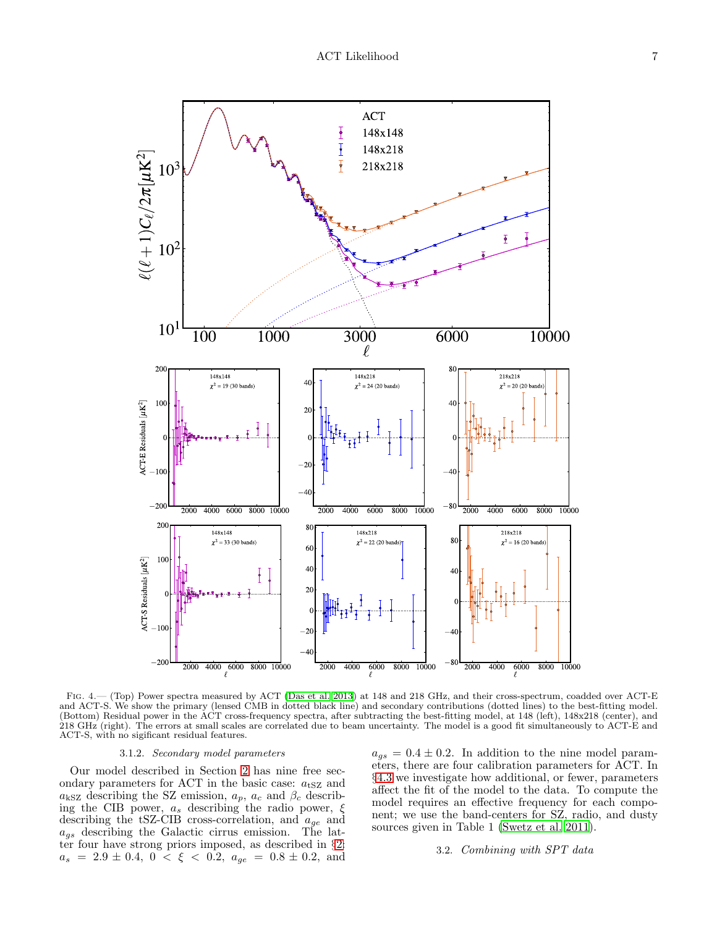

Fig. 4.— (Top) Power spectra measured by ACT (Das et al. 2013) at 148 and 218 GHz, and their cross-spectrum, coadded over ACT-E and ACT-S. We show the primary (lensed CMB in dotted black line) and secondary contributions (dotted lines) to the best-fitting model. (Bottom) Residual power in the ACT cross-frequency spectra, after subtracting the best-fitting model, at 148 (left), 148x218 (center), and 218 GHz (right). The errors at small scales are correlated due to beam uncertainty. The model is a good fit simultaneously to ACT-E and ACT-S, with no sigificant residual features.

### <span id="page-6-1"></span>3.1.2. Secondary model parameters

<span id="page-6-0"></span>Our model described in Section [2](#page-1-0) has nine free secondary parameters for ACT in the basic case:  $a_{\text{tSZ}}$  and  $a_{\text{kSZ}}$  describing the SZ emission,  $a_p$ ,  $a_c$  and  $\beta_c$  describing the CIB power,  $a_s$  describing the radio power,  $\xi$ describing the tSZ-CIB cross-correlation, and  $a_{ge}$  and  $a_{gs}$  describing the Galactic cirrus emission. The latter four have strong priors imposed, as described in §[2:](#page-1-0)  $a_s = 2.9 \pm 0.4, 0 \lt \xi \lt 0.2, a_{ge} = 0.8 \pm 0.2, \text{ and}$ 

 $a_{gs} = 0.4 \pm 0.2$ . In addition to the nine model parameters, there are four calibration parameters for ACT. In §[4.3](#page-10-0) we investigate how additional, or fewer, parameters affect the fit of the model to the data. To compute the model requires an effective frequency for each component; we use the band-centers for SZ, radio, and dusty sources given in Table 1 (Swetz et al. 2011).

# 3.2. Combining with SPT data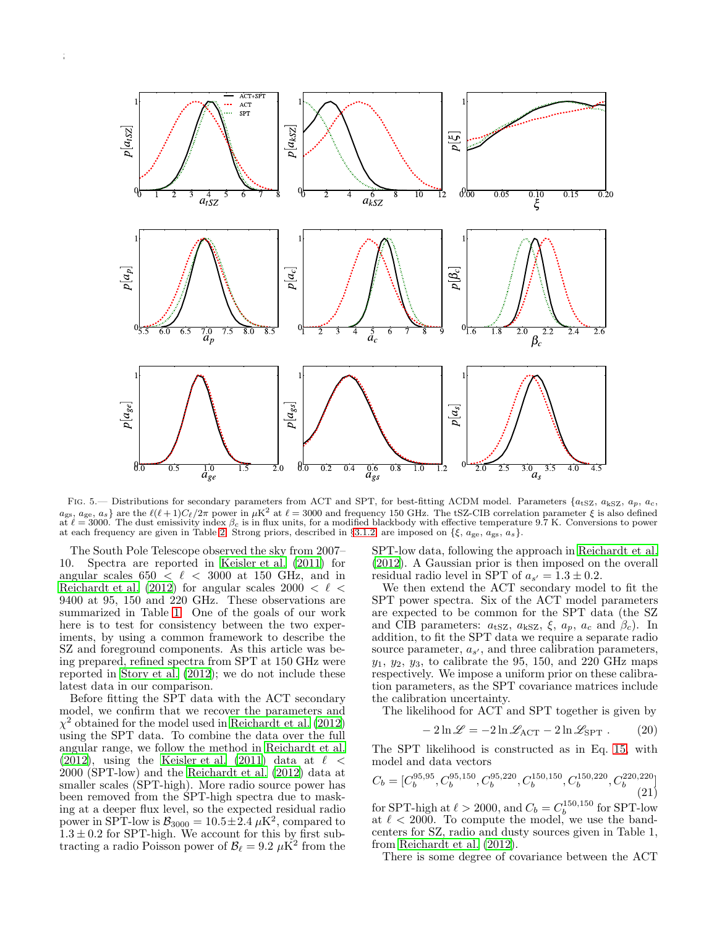

<span id="page-7-0"></span>FIG. 5.— Distributions for secondary parameters from ACT and SPT, for best-fitting ΛCDM model. Parameters  $\{a_{tSZ}, a_{kSZ}, a_p, a_c,$  $a_{\rm gs}$ ,  $a_{\rm ge}$ ,  $a_s$ } are the  $\ell(\ell+1)C_{\ell}/2\pi$  power in  $\mu$ K<sup>2</sup> at  $\ell = 3000$  and frequency 150 GHz. The tSZ-CIB correlation parameter  $\xi$  is also defined at  $\ell = 3000$ . The dust emissivity index  $\beta_c$  is in flux u at each frequency are given in Table [2.](#page-10-1) Strong priors, described in §[3.1.2,](#page-6-0) are imposed on  $\{\xi, a_{\text{ge}}, a_{\text{gs}}, a_s\}.$ 

The South Pole Telescope observed the sky from 2007– 10. Spectra are reported in Keisler et al. (2011) for angular scales  $650 < \ell < 3000$  at 150 GHz, and in Reichardt et al. (2012) for angular scales  $2000 < \ell <$ 9400 at 95, 150 and 220 GHz. These observations are summarized in Table [1.](#page-2-1) One of the goals of our work here is to test for consistency between the two experiments, by using a common framework to describe the SZ and foreground components. As this article was being prepared, refined spectra from SPT at 150 GHz were reported in Story et al. (2012); we do not include these latest data in our comparison.

Before fitting the SPT data with the ACT secondary model, we confirm that we recover the parameters and  $\chi^2$  obtained for the model used in Reichardt et al. (2012) using the SPT data. To combine the data over the full angular range, we follow the method in Reichardt et al. (2012), using the Keisler et al. (2011) data at  $\ell$  < 2000 (SPT-low) and the Reichardt et al. (2012) data at smaller scales (SPT-high). More radio source power has been removed from the SPT-high spectra due to masking at a deeper flux level, so the expected residual radio power in SPT-low is  $B_{3000} = 10.5 \pm 2.4 \mu\text{K}^2$ , compared to  $1.3 \pm 0.2$  for SPT-high. We account for this by first subtracting a radio Poisson power of  $B_{\ell} = 9.2 \mu \dot{\text{K}}^2$  from the SPT-low data, following the approach in Reichardt et al. (2012). A Gaussian prior is then imposed on the overall residual radio level in SPT of  $a_{s'} = 1.3 \pm 0.2$ .

We then extend the ACT secondary model to fit the SPT power spectra. Six of the ACT model parameters are expected to be common for the SPT data (the SZ and CIB parameters:  $a_{\text{tSZ}}$ ,  $a_{\text{kSZ}}$ ,  $\xi$ ,  $a_p$ ,  $a_c$  and  $\beta_c$ ). In addition, to fit the SPT data we require a separate radio source parameter,  $a_{s'}$ , and three calibration parameters,  $y_1, y_2, y_3$ , to calibrate the 95, 150, and 220 GHz maps respectively. We impose a uniform prior on these calibration parameters, as the SPT covariance matrices include the calibration uncertainty.

The likelihood for ACT and SPT together is given by

$$
-2\ln\mathcal{L} = -2\ln\mathcal{L}_{\text{ACT}} - 2\ln\mathcal{L}_{\text{SPT}}.
$$
 (20)

The SPT likelihood is constructed as in Eq. [15,](#page-5-2) with model and data vectors

$$
C_b = [C_b^{95,95}, C_b^{95,150}, C_b^{95,220}, C_b^{150,150}, C_b^{150,220}, C_b^{220,220}] \tag{21}
$$

for SPT-high at  $\ell > 2000$ , and  $C_b = C_b^{150,150}$  for SPT-low at  $\ell < 2000$ . To compute the model, we use the bandcenters for SZ, radio and dusty sources given in Table 1, from Reichardt et al. (2012).

There is some degree of covariance between the ACT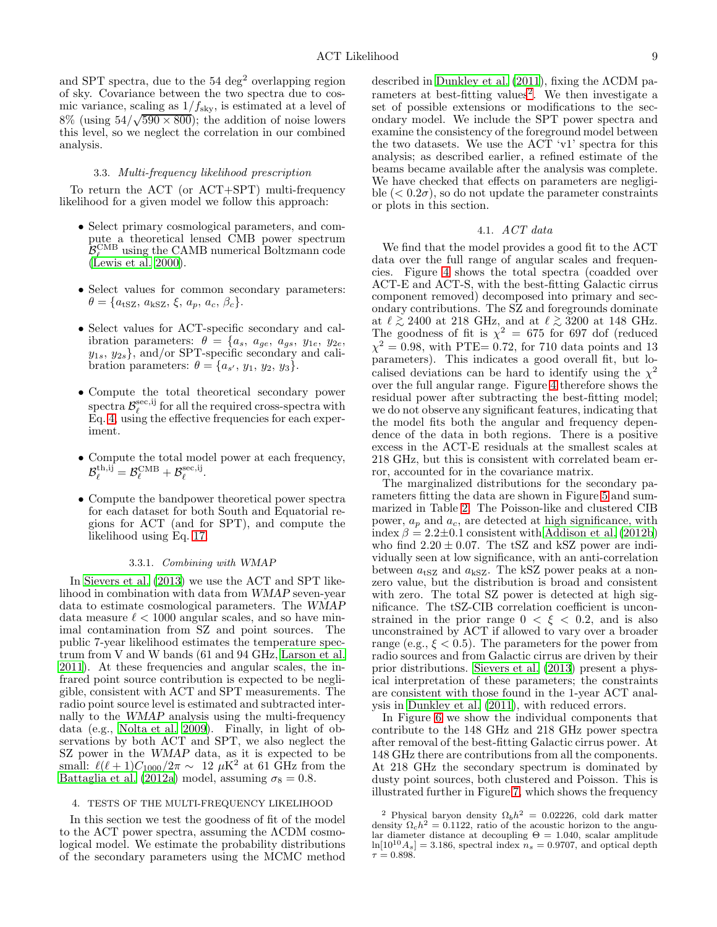and SPT spectra, due to the  $54 \text{ deg}^2$  overlapping region of sky. Covariance between the two spectra due to cosmic variance, scaling as  $1/f_{\text{sky}}$ , is estimated at a level of 8% (using  $54/\sqrt{590 \times 800}$ ); the addition of noise lowers this level, so we neglect the correlation in our combined analysis.

### 3.3. Multi-frequency likelihood prescription

To return the ACT (or ACT+SPT) multi-frequency likelihood for a given model we follow this approach:

- Select primary cosmological parameters, and compute a theoretical lensed CMB power spectrum  $B_{\ell}^{\text{CMB}}$  using the CAMB numerical Boltzmann code (Lewis et al. 2000).
- Select values for common secondary parameters:  $\theta = \{a_{\text{tSZ}}, a_{\text{kSZ}}, \xi, a_p, a_c, \beta_c\}.$
- Select values for ACT-specific secondary and calibration parameters:  $\theta = \{a_s, a_{ge}, a_{gs}, y_{1e}, y_{2e},$  $y_{1s}, y_{2s}$ , and/or SPT-specific secondary and calibration parameters:  $\theta = \{a_{s'}, y_1, y_2, y_3\}.$
- Compute the total theoretical secondary power spectra  $\mathcal{B}_{\ell}^{\text{sec},\text{ij}}$  for all the required cross-spectra with  $E_q$ . [4,](#page-1-1) using the effective frequencies for each experiment.
- Compute the total model power at each frequency,  $\mathcal{B}_{\ell}^{\mathrm{th, ij}} = \mathcal{B}_{\ell}^{\mathrm{CMB}} + \mathcal{B}_{\ell}^{\mathrm{sec, ij}}.$
- Compute the bandpower theoretical power spectra for each dataset for both South and Equatorial regions for ACT (and for SPT), and compute the likelihood using Eq. [17.](#page-5-3)

### 3.3.1. Combining with WMAP

In Sievers et al. (2013) we use the ACT and SPT likelihood in combination with data from WMAP seven-year data to estimate cosmological parameters. The WMAP data measure  $\ell < 1000$  angular scales, and so have minimal contamination from SZ and point sources. The public 7-year likelihood estimates the temperature spectrum from V and W bands (61 and 94 GHz, Larson et al. 2011). At these frequencies and angular scales, the infrared point source contribution is expected to be negligible, consistent with ACT and SPT measurements. The radio point source level is estimated and subtracted internally to the WMAP analysis using the multi-frequency data (e.g., Nolta et al. 2009). Finally, in light of observations by both ACT and SPT, we also neglect the SZ power in the WMAP data, as it is expected to be small:  $\ell(\ell+1)C_{1000}/2\pi \sim 12 \mu{\rm K}^2$  at 61 GHz from the Battaglia et al. (2012a) model, assuming  $\sigma_8 = 0.8$ .

#### <span id="page-8-0"></span>4. TESTS OF THE MULTI-FREQUENCY LIKELIHOOD

In this section we test the goodness of fit of the model to the ACT power spectra, assuming the ΛCDM cosmological model. We estimate the probability distributions of the secondary parameters using the MCMC method

described in Dunkley et al. (2011), fixing the ΛCDM pa-rameters at best-fitting values<sup>[2](#page-8-1)</sup>. We then investigate a set of possible extensions or modifications to the secondary model. We include the SPT power spectra and examine the consistency of the foreground model between the two datasets. We use the ACT 'v1' spectra for this analysis; as described earlier, a refined estimate of the beams became available after the analysis was complete. We have checked that effects on parameters are negligible  $( $0.2\sigma$ ), so do not update the parameter constraints$ or plots in this section.

# 4.1. ACT data

We find that the model provides a good fit to the ACT data over the full range of angular scales and frequencies. Figure [4](#page-6-1) shows the total spectra (coadded over ACT-E and ACT-S, with the best-fitting Galactic cirrus component removed) decomposed into primary and secondary contributions. The SZ and foregrounds dominate at  $\ell \gtrsim 2400$  at 218 GHz, and at  $\ell \gtrsim 3200$  at 148 GHz.<br>The goodness of fit is  $\chi^2 = 675$  for 697 dof (reduced  $\chi^2 = 0.98$ , with PTE= 0.72, for 710 data points and 13 parameters). This indicates a good overall fit, but localised deviations can be hard to identify using the  $\chi^2$ over the full angular range. Figure [4](#page-6-1) therefore shows the residual power after subtracting the best-fitting model; we do not observe any significant features, indicating that the model fits both the angular and frequency dependence of the data in both regions. There is a positive excess in the ACT-E residuals at the smallest scales at 218 GHz, but this is consistent with correlated beam error, accounted for in the covariance matrix.

The marginalized distributions for the secondary parameters fitting the data are shown in Figure [5](#page-7-0) and summarized in Table [2.](#page-10-1) The Poisson-like and clustered CIB power,  $a_p$  and  $a_c$ , are detected at high significance, with index  $\beta = 2.2 \pm 0.1$  consistent with Addison et al. (2012b) who find  $2.20 \pm 0.07$ . The tSZ and kSZ power are individually seen at low significance, with an anti-correlation between  $a_{\text{tSZ}}$  and  $a_{\text{kSZ}}$ . The kSZ power peaks at a nonzero value, but the distribution is broad and consistent with zero. The total SZ power is detected at high significance. The tSZ-CIB correlation coefficient is unconstrained in the prior range  $0 < \xi < 0.2$ , and is also unconstrained by ACT if allowed to vary over a broader range (e.g.,  $\xi < 0.5$ ). The parameters for the power from radio sources and from Galactic cirrus are driven by their prior distributions. Sievers et al. (2013) present a physical interpretation of these parameters; the constraints are consistent with those found in the 1-year ACT analysis in Dunkley et al. (2011), with reduced errors.

In Figure [6](#page-9-0) we show the individual components that contribute to the 148 GHz and 218 GHz power spectra after removal of the best-fitting Galactic cirrus power. At 148 GHz there are contributions from all the components. At 218 GHz the secondary spectrum is dominated by dusty point sources, both clustered and Poisson. This is illustrated further in Figure [7,](#page-10-2) which shows the frequency

<span id="page-8-1"></span><sup>&</sup>lt;sup>2</sup> Physical baryon density  $\Omega_b h^2 = 0.02226$ , cold dark matter density  $\Omega_c h^2 = 0.1122$ , ratio of the acoustic horizon to the angular diameter distance at decoupling  $\Theta = 1.040$ , scalar amplitude  $\ln[10^{10}A_s] = 3.186$ , spectral index  $n_s = 0.9707$ , and optical depth  $\tau = 0.898$ .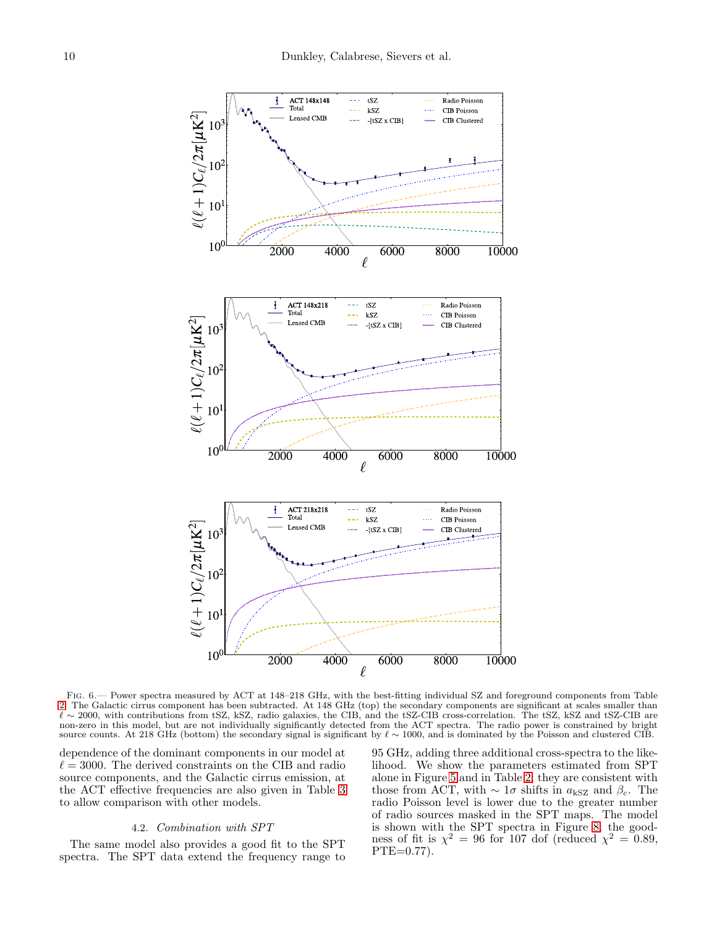

<span id="page-9-0"></span>Fig. 6.— Power spectra measured by ACT at 148–218 GHz, with the best-fitting individual SZ and foreground components from Table [2.](#page-10-1) The Galactic cirrus component has been subtracted. At 148 GHz (top) the secondary components are significant at scales smaller than ℓ ∼ 2000, with contributions from tSZ, kSZ, radio galaxies, the CIB, and the tSZ-CIB cross-correlation. The tSZ, kSZ and tSZ-CIB are non-zero in this model, but are not individually significantly detected from the ACT spectra. The radio power is constrained by bright source counts. At 218 GHz (bottom) the secondary signal is significant by  $\ell \sim 1000$ , and is dominated by the Poisson and clustered CIB.

dependence of the dominant components in our model at  $\ell = 3000$ . The derived constraints on the CIB and radio source components, and the Galactic cirrus emission, at the ACT effective frequencies are also given in Table [3](#page-10-3) to allow comparison with other models.

#### 4.2. Combination with SPT

The same model also provides a good fit to the SPT spectra. The SPT data extend the frequency range to

95 GHz, adding three additional cross-spectra to the likelihood. We show the parameters estimated from SPT alone in Figure [5](#page-7-0) and in Table [2;](#page-10-1) they are consistent with those from ACT, with  $\sim 1\sigma$  shifts in  $a_{\rm kSZ}$  and  $\beta_c$ . The radio Poisson level is lower due to the greater number of radio sources masked in the SPT maps. The model is shown with the SPT spectra in Figure [8;](#page-11-0) the goodness of fit is  $\chi^2 = 96$  for 107 dof (reduced  $\chi^2 = 0.89$ , PTE=0.77).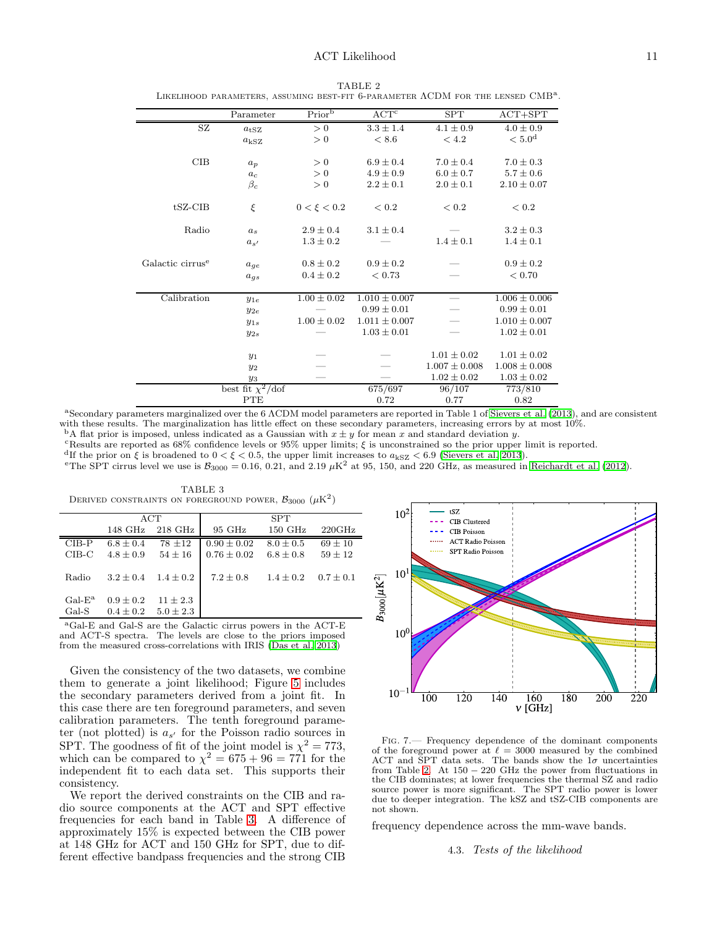<span id="page-10-1"></span>

|                              | Parameter              | Prior <sup>b</sup> | $\ensuremath{\mathrm{ACT}^{\mathrm{c}}}$ | <b>SPT</b>        | $ACT+SPT$          |
|------------------------------|------------------------|--------------------|------------------------------------------|-------------------|--------------------|
| SZ                           | $a$ <sub>tSZ</sub>     | > 0                | $3.3 \pm 1.4$                            | $4.1 \pm 0.9$     | $4.0 \pm 0.9$      |
|                              | $a_{\rm kSZ}$          | > 0                | < 8.6                                    | < 4.2             | < 5.0 <sup>d</sup> |
| CIB                          | $a_p$                  | > 0                | $6.9 \pm 0.4$                            | $7.0 \pm 0.4$     | $7.0 \pm 0.3$      |
|                              | $a_c$                  | > 0                | $4.9 \pm 0.9$                            | $6.0 \pm 0.7$     | $5.7 \pm 0.6$      |
|                              | $\beta_c$              | > 0                | $2.2 \pm 0.1$                            | $2.0 \pm 0.1$     | $2.10 \pm 0.07$    |
| $tSZ-CIB$                    | ξ                      | $0 < \xi < 0.2$    | < 0.2                                    | < 0.2             | < 0.2              |
| Radio                        | $a_s$                  | $2.9 \pm 0.4$      | $3.1 \pm 0.4$                            |                   | $3.2 \pm 0.3$      |
|                              | $a_{s'}$               | $1.3 \pm 0.2$      |                                          | $1.4 \pm 0.1$     | $1.4 \pm 0.1$      |
| Galactic cirrus <sup>e</sup> | $a_{ge}$               | $0.8 \pm 0.2$      | $0.9 \pm 0.2$                            |                   | $0.9 \pm 0.2$      |
|                              | $a_{gs}$               | $0.4 \pm 0.2$      | < 0.73                                   |                   | < 0.70             |
| Calibration                  | $y_{1e}$               | $1.00 \pm 0.02$    | $1.010 \pm 0.007$                        |                   | $1.006 \pm 0.006$  |
|                              | $y_{2e}$               |                    | $0.99 \pm 0.01$                          |                   | $0.99 \pm 0.01$    |
|                              | $y_{1s}$               | $1.00 \pm 0.02$    | $1.011 \pm 0.007$                        |                   | $1.010 \pm 0.007$  |
|                              | $y_{2s}$               |                    | $1.03 \pm 0.01$                          |                   | $1.02 \pm 0.01$    |
|                              | $y_1$                  |                    |                                          | $1.01 \pm 0.02$   | $1.01 \pm 0.02$    |
|                              | $y_2$                  |                    |                                          | $1.007 \pm 0.008$ | $1.008 \pm 0.008$  |
|                              | $y_3$                  |                    |                                          | $1.02 \pm 0.02$   | $1.03 \pm 0.02$    |
|                              | best fit $\chi^2$ /dof |                    | 675/697                                  | 96/107            | 773/810            |
|                              | <b>PTE</b>             |                    | 0.72                                     | 0.77              | 0.82               |

TABLE 2 Likelihood parameters, assuming best-fit 6-parameter ΛCDM for the lensed CMB<sup>a</sup> .

<sup>a</sup>Secondary parameters marginalized over the 6 ΛCDM model parameters are reported in Table 1 of Sievers et al. (2013), and are consistent with these results. The marginalization has little effect on these secondary parameters, increasing errors by at most 10%.

<sup>b</sup>A flat prior is imposed, unless indicated as a Gaussian with  $x \pm y$  for mean x and standard deviation y. <sup>c</sup>Results are reported as  $68\%$  confidence levels or  $95\%$  upper limits;  $\xi$  is unconstrained so the prior upper limit is reported.

<sup>d</sup>If the prior on  $\xi$  is broadened to  $0 < \xi < 0.5$ , the upper limit increases to  $a_{kSZ} < 6.9$  (Sievers et al. 2013).

<sup>e</sup>The SPT cirrus level we use is  $B_{3000} = 0.16, 0.21,$  and 2.19  $\mu$ K<sup>2</sup> at 95, 150, and 220 GHz, as measured in Reichardt et al. (2012).

<span id="page-10-3"></span>TABLE 3 DERIVED CONSTRAINTS ON FOREGROUND POWER,  $\mathcal{B}_{3000}$   $(\mu\mathrm{K}^2)$ 

|                   | ACT                            |                               | <b>SPT</b>      |                   |               |  |
|-------------------|--------------------------------|-------------------------------|-----------------|-------------------|---------------|--|
|                   | 148 GHz                        | $218$ GHz                     | $95\text{ GHz}$ | $150 \text{ GHz}$ | 220GHz        |  |
| $CIB-P$           | $6.8 \pm 0.4$                  | $78 + 12$                     | $0.90 \pm 0.02$ | $8.0 \pm 0.5$     | $69 \pm 10$   |  |
| $CIB-C$           | $4.8 \pm 0.9$                  | $54 \pm 16$                   | $0.76 \pm 0.02$ | $6.8 \pm 0.8$     | $59 \pm 12$   |  |
| Radio             | $3.2 \pm 0.4$                  | $1.4 \pm 0.2$                 | $7.2 \pm 0.8$   | $1.4 \pm 0.2$     | $0.7 \pm 0.1$ |  |
| $Gal-Ea$<br>Gal-S | $0.9 \pm 0.2$<br>$0.4 \pm 0.2$ | $11 \pm 2.3$<br>$5.0 \pm 2.3$ |                 |                   |               |  |

<sup>a</sup>Gal-E and Gal-S are the Galactic cirrus powers in the ACT-E and ACT-S spectra. The levels are close to the priors imposed from the measured cross-correlations with IRIS (Das et al. 2013)

Given the consistency of the two datasets, we combine them to generate a joint likelihood; Figure [5](#page-7-0) includes the secondary parameters derived from a joint fit. In this case there are ten foreground parameters, and seven calibration parameters. The tenth foreground parameter (not plotted) is  $a_{s'}$  for the Poisson radio sources in SPT. The goodness of fit of the joint model is  $\chi^2 = 773$ , which can be compared to  $\chi^2 = 675 + 96 = 771$  for the independent fit to each data set. This supports their consistency.

We report the derived constraints on the CIB and radio source components at the ACT and SPT effective frequencies for each band in Table [3.](#page-10-3) A difference of approximately 15% is expected between the CIB power at 148 GHz for ACT and 150 GHz for SPT, due to different effective bandpass frequencies and the strong CIB



<span id="page-10-2"></span>Fig. 7.— Frequency dependence of the dominant components of the foreground power at  $\ell = 3000$  measured by the combined ACT and SPT data sets. The bands show the  $1\sigma$  uncertainties from Table [2.](#page-10-1) At  $150 - 220$  GHz the power from fluctuations in the CIB dominates; at lower frequencies the thermal SZ and radio source power is more significant. The SPT radio power is lower due to deeper integration. The kSZ and tSZ-CIB components are not shown.

<span id="page-10-0"></span>frequency dependence across the mm-wave bands.

# 4.3. Tests of the likelihood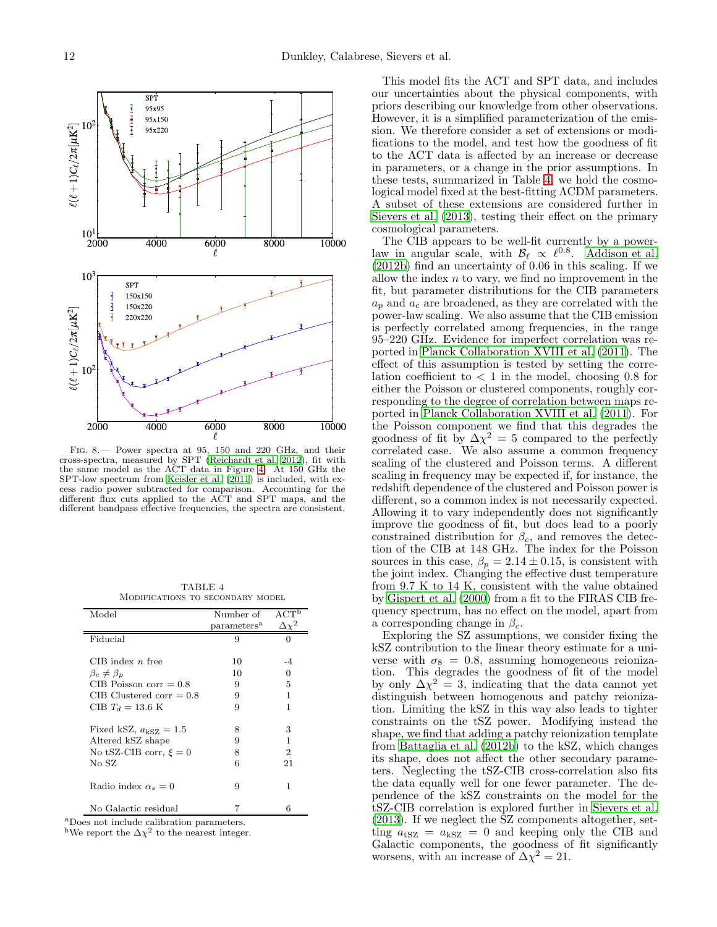

<span id="page-11-0"></span>Fig. 8.— Power spectra at 95, 150 and 220 GHz, and their cross-spectra, measured by SPT (Reichardt et al. 2012), fit with the same model as the ACT data in Figure [4.](#page-6-1) At 150 GHz the SPT-low spectrum from Keisler et al.  $(2011)$  is included, with excess radio power subtracted for comparison. Accounting for the different flux cuts applied to the ACT and SPT maps, and the different bandpass effective frequencies, the spectra are consistent.

TABLE 4 Modifications to secondary model

<span id="page-11-1"></span>

| Model                          | Number of               | ACT <sup>b</sup> |
|--------------------------------|-------------------------|------------------|
|                                | parameters <sup>a</sup> | $\Delta\chi^2$   |
| Fiducial                       | 9                       | O                |
|                                |                         |                  |
| CIB index $n$ free             | 10                      | -4               |
| $\beta_c \neq \beta_p$         | 10                      | $\mathbf{0}$     |
| $CIB$ Poisson corr = 0.8       | 9                       | 5                |
| CIB Clustered corr $= 0.8$     | 9                       | 1                |
| CIB $T_d = 13.6$ K             | 9                       | 1                |
| Fixed kSZ, $a_{\rm kSZ} = 1.5$ | 8                       | 3                |
| Altered kSZ shape              | 9                       | 1                |
| No tSZ-CIB corr, $\xi = 0$     | 8                       | 2                |
| No SZ                          | 6                       | 21               |
| Radio index $\alpha_s = 0$     | 9                       | 1                |
| No Galactic residual           | 7                       | 6                |

<sup>a</sup>Does not include calibration parameters.

<sup>b</sup>We report the  $\Delta \chi^2$  to the nearest integer.

This model fits the ACT and SPT data, and includes our uncertainties about the physical components, with priors describing our knowledge from other observations. However, it is a simplified parameterization of the emission. We therefore consider a set of extensions or modifications to the model, and test how the goodness of fit to the ACT data is affected by an increase or decrease in parameters, or a change in the prior assumptions. In these tests, summarized in Table [4,](#page-11-1) we hold the cosmological model fixed at the best-fitting ΛCDM parameters. A subset of these extensions are considered further in Sievers et al. (2013), testing their effect on the primary cosmological parameters.

The CIB appears to be well-fit currently by a powerlaw in angular scale, with  $\mathcal{B}_{\ell} \propto \ell^{0.8}$ . Addison et al. (2012b) find an uncertainty of 0.06 in this scaling. If we allow the index  $n$  to vary, we find no improvement in the fit, but parameter distributions for the CIB parameters  $a_p$  and  $a_c$  are broadened, as they are correlated with the power-law scaling. We also assume that the CIB emission is perfectly correlated among frequencies, in the range 95–220 GHz. Evidence for imperfect correlation was reported in Planck Collaboration XVIII et al. (2011). The effect of this assumption is tested by setting the correlation coefficient to  $\langle 1 \rangle$  in the model, choosing 0.8 for either the Poisson or clustered components, roughly corresponding to the degree of correlation between maps reported in Planck Collaboration XVIII et al. (2011). For the Poisson component we find that this degrades the goodness of fit by  $\Delta \chi^2 = 5$  compared to the perfectly correlated case. We also assume a common frequency scaling of the clustered and Poisson terms. A different scaling in frequency may be expected if, for instance, the redshift dependence of the clustered and Poisson power is different, so a common index is not necessarily expected. Allowing it to vary independently does not significantly improve the goodness of fit, but does lead to a poorly constrained distribution for  $\beta_c$ , and removes the detection of the CIB at 148 GHz. The index for the Poisson sources in this case,  $\beta_p = 2.14 \pm 0.15$ , is consistent with the joint index. Changing the effective dust temperature from 9.7 K to 14 K, consistent with the value obtained by Gispert et al. (2000) from a fit to the FIRAS CIB frequency spectrum, has no effect on the model, apart from a corresponding change in  $\beta_c$ .

Exploring the SZ assumptions, we consider fixing the kSZ contribution to the linear theory estimate for a universe with  $\sigma_8 = 0.8$ , assuming homogeneous reionization. This degrades the goodness of fit of the model by only  $\Delta \chi^2 = 3$ , indicating that the data cannot yet distinguish between homogenous and patchy reionization. Limiting the kSZ in this way also leads to tighter constraints on the tSZ power. Modifying instead the shape, we find that adding a patchy reionization template from Battaglia et al. (2012b) to the kSZ, which changes its shape, does not affect the other secondary parameters. Neglecting the tSZ-CIB cross-correlation also fits the data equally well for one fewer parameter. The dependence of the kSZ constraints on the model for the tSZ-CIB correlation is explored further in Sievers et al. (2013). If we neglect the SZ components altogether, setting  $a_{\text{tSZ}} = a_{\text{kSZ}} = 0$  and keeping only the CIB and Galactic components, the goodness of fit significantly worsens, with an increase of  $\Delta \chi^2 = 21$ .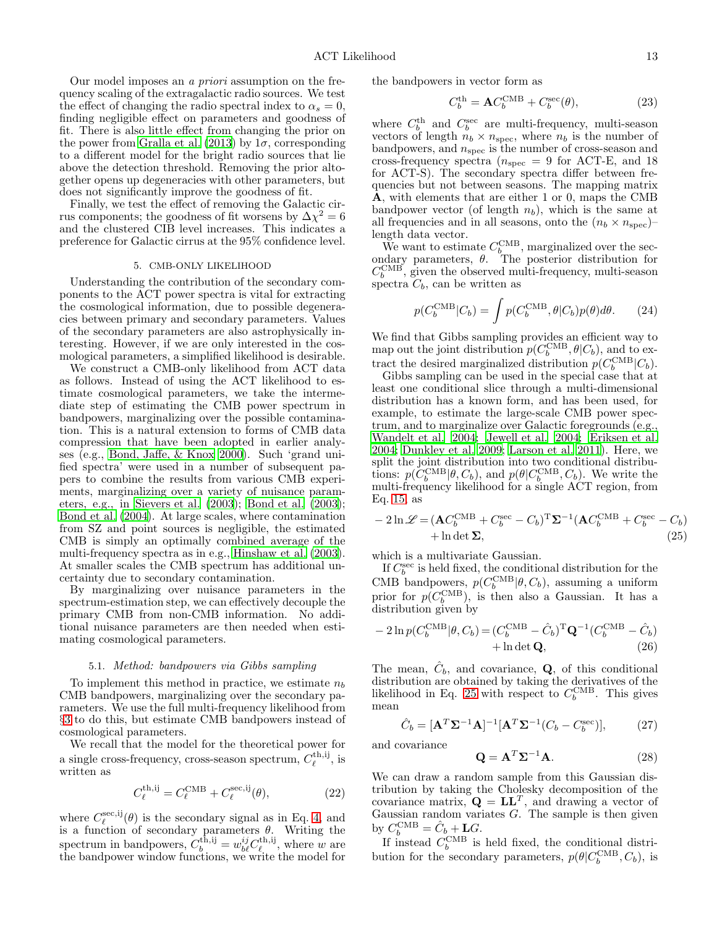Our model imposes an a priori assumption on the frequency scaling of the extragalactic radio sources. We test the effect of changing the radio spectral index to  $\alpha_s = 0$ , finding negligible effect on parameters and goodness of fit. There is also little effect from changing the prior on the power from Gralla et al. (2013) by  $1\sigma$ , corresponding to a different model for the bright radio sources that lie above the detection threshold. Removing the prior altogether opens up degeneracies with other parameters, but does not significantly improve the goodness of fit.

Finally, we test the effect of removing the Galactic cirrus components; the goodness of fit worsens by  $\Delta \chi^2 = 6$ and the clustered CIB level increases. This indicates a preference for Galactic cirrus at the 95% confidence level.

# 5. CMB-ONLY LIKELIHOOD

<span id="page-12-0"></span>Understanding the contribution of the secondary components to the ACT power spectra is vital for extracting the cosmological information, due to possible degeneracies between primary and secondary parameters. Values of the secondary parameters are also astrophysically interesting. However, if we are only interested in the cosmological parameters, a simplified likelihood is desirable.

We construct a CMB-only likelihood from ACT data as follows. Instead of using the ACT likelihood to estimate cosmological parameters, we take the intermediate step of estimating the CMB power spectrum in bandpowers, marginalizing over the possible contamination. This is a natural extension to forms of CMB data compression that have been adopted in earlier analyses (e.g., Bond, Jaffe, & Knox 2000). Such 'grand unified spectra' were used in a number of subsequent papers to combine the results from various CMB experiments, marginalizing over a variety of nuisance parameters, e.g., in Sievers et al. (2003); Bond et al. (2003); Bond et al. (2004). At large scales, where contamination from SZ and point sources is negligible, the estimated CMB is simply an optimally combined average of the multi-frequency spectra as in e.g., Hinshaw et al. (2003). At smaller scales the CMB spectrum has additional uncertainty due to secondary contamination.

By marginalizing over nuisance parameters in the spectrum-estimation step, we can effectively decouple the primary CMB from non-CMB information. No additional nuisance parameters are then needed when estimating cosmological parameters.

#### 5.1. Method: bandpowers via Gibbs sampling

To implement this method in practice, we estimate  $n_b$ CMB bandpowers, marginalizing over the secondary parameters. We use the full multi-frequency likelihood from §[3](#page-5-0) to do this, but estimate CMB bandpowers instead of cosmological parameters.

We recall that the model for the theoretical power for a single cross-frequency, cross-season spectrum,  $C_{\ell}^{\text{th,ij}}$ , is written as

$$
C_{\ell}^{\text{th,ij}} = C_{\ell}^{\text{CMB}} + C_{\ell}^{\text{sec,ij}}(\theta),\tag{22}
$$

where  $C_{\ell}^{\text{sec},ij}(\theta)$  is the secondary signal as in Eq. [4,](#page-1-1) and is a function of secondary parameters  $\theta$ . Writing the spectrum in bandpowers,  $C_b^{\text{th,ij}} = w_{b\ell}^{ij} C_{\ell}^{\text{th,ij}}$ , where w are the bandpower window functions, we write the model for the bandpowers in vector form as

$$
C_b^{\text{th}} = \mathbf{A} C_b^{\text{CMB}} + C_b^{\text{sec}}(\theta),\tag{23}
$$

where  $C_b^{\text{th}}$  and  $C_b^{\text{sec}}$  are multi-frequency, multi-season vectors of length  $n_b \times n_{\text{spec}}$ , where  $n_b$  is the number of bandpowers, and  $n_{\rm spec}$  is the number of cross-season and cross-frequency spectra ( $n_{\rm spec} = 9$  for ACT-E, and 18 for ACT-S). The secondary spectra differ between frequencies but not between seasons. The mapping matrix A, with elements that are either 1 or 0, maps the CMB bandpower vector (of length  $n_b$ ), which is the same at all frequencies and in all seasons, onto the  $(n_b \times n_{\rm spec})$ length data vector.

We want to estimate  $C_{b}^{\text{CMB}}$ , marginalized over the secondary parameters,  $\theta$ . The posterior distribution for  $C_b^{\text{CMB}}$ , given the observed multi-frequency, multi-season spectra  $C_b$ , can be written as

$$
p(C_b^{\text{CMB}}|C_b) = \int p(C_b^{\text{CMB}}, \theta|C_b)p(\theta)d\theta. \tag{24}
$$

We find that Gibbs sampling provides an efficient way to map out the joint distribution  $p(C_b^{\text{CMB}}, \theta|C_b)$ , and to extract the desired marginalized distribution  $p(C_b^{\text{CMB}}|C_b)$ .

Gibbs sampling can be used in the special case that at least one conditional slice through a multi-dimensional distribution has a known form, and has been used, for example, to estimate the large-scale CMB power spectrum, and to marginalize over Galactic foregrounds (e.g., Wandelt et al. 2004; Jewell et al. 2004; Eriksen et al. 2004; Dunkley et al. 2009; Larson et al. 2011). Here, we split the joint distribution into two conditional distributions:  $p(C_b^{\text{CMB}}|\theta, C_b)$ , and  $p(\theta|C_b^{\text{CMB}}, C_b)$ . We write the multi-frequency likelihood for a single ACT region, from Eq. [15,](#page-5-2) as

<span id="page-12-1"></span>
$$
-2\ln \mathcal{L} = (\mathbf{A}C_b^{\text{CMB}} + C_b^{\text{sec}} - C_b)^{\text{T}} \mathbf{\Sigma}^{-1} (\mathbf{A}C_b^{\text{CMB}} + C_b^{\text{sec}} - C_b) + \ln \det \mathbf{\Sigma},
$$
\n(25)

which is a multivariate Gaussian.

If  $C_b^{\text{sec}}$  is held fixed, the conditional distribution for the CMB bandpowers,  $p(C_b^{\text{CMB}}|\theta, C_b)$ , assuming a uniform prior for  $p(C_b^{\text{CMB}})$ , is then also a Gaussian. It has a distribution given by

$$
-2\ln p(C_b^{\text{CMB}}|\theta, C_b) = (C_b^{\text{CMB}} - \hat{C}_b)^{\text{T}} \mathbf{Q}^{-1} (C_b^{\text{CMB}} - \hat{C}_b) + \ln \det \mathbf{Q},
$$
\n(26)

The mean,  $\hat{C}_b$ , and covariance, **Q**, of this conditional distribution are obtained by taking the derivatives of the likelihood in Eq. [25](#page-12-1) with respect to  $C_b^{\text{CMB}}$ . This gives mean

$$
\hat{C}_b = [\mathbf{A}^T \Sigma^{-1} \mathbf{A}]^{-1} [\mathbf{A}^T \Sigma^{-1} (C_b - C_b^{\text{sec}})],\tag{27}
$$

and covariance

$$
\mathbf{Q} = \mathbf{A}^T \mathbf{\Sigma}^{-1} \mathbf{A}.
$$
 (28)

We can draw a random sample from this Gaussian distribution by taking the Cholesky decomposition of the covariance matrix,  $\mathbf{Q} = \mathbf{L}\mathbf{L}^T$ , and drawing a vector of Gaussian random variates  $G$ . The sample is then given by  $C_b^{\text{CMB}} = \hat{C}_b + \mathbf{L}G$ .

If instead  $C_b^{\text{CMB}}$  is held fixed, the conditional distribution for the secondary parameters,  $p(\theta|C_b^{\text{CMB}}, C_b)$ , is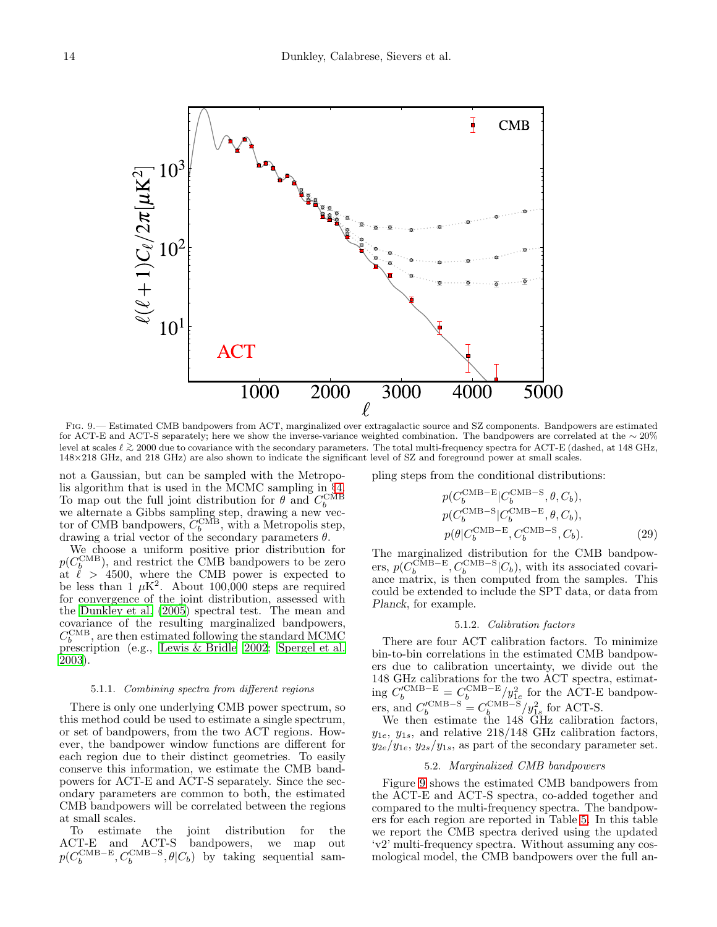

<span id="page-13-0"></span>Fig. 9.— Estimated CMB bandpowers from ACT, marginalized over extragalactic source and SZ components. Bandpowers are estimated for ACT-E and ACT-S separately; here we show the inverse-variance weighted combination. The bandpowers are correlated at the ∼ 20% level at scales ℓ <sup>&</sup>gt;∼ 2000 due to covariance with the secondary parameters. The total multi-frequency spectra for ACT-E (dashed, at 148 GHz, 148×218 GHz, and 218 GHz) are also shown to indicate the significant level of SZ and foreground power at small scales.

not a Gaussian, but can be sampled with the Metropolis algorithm that is used in the MCMC sampling in §[4.](#page-8-0) To map out the full joint distribution for  $\theta$  and  $C_b^{\text{CMB}}$ we alternate a Gibbs sampling step, drawing a new vector of CMB bandpowers,  $C_b^{\text{CMB}}$ , with a Metropolis step, drawing a trial vector of the secondary parameters  $\theta$ .

We choose a uniform positive prior distribution for  $p(C_b^{\text{CMB}})$ , and restrict the CMB bandpowers to be zero at  $\ell > 4500$ , where the CMB power is expected to be less than  $1 \mu$ K<sup>2</sup>. About 100,000 steps are required for convergence of the joint distribution, assessed with the Dunkley et al. (2005) spectral test. The mean and covariance of the resulting marginalized bandpowers,  $C_b^{\rm CMB}$ , are then estimated following the standard MCMC prescription (e.g., Lewis & Bridle 2002; Spergel et al. 2003).

# 5.1.1. Combining spectra from different regions

There is only one underlying CMB power spectrum, so this method could be used to estimate a single spectrum, or set of bandpowers, from the two ACT regions. However, the bandpower window functions are different for each region due to their distinct geometries. To easily conserve this information, we estimate the CMB bandpowers for ACT-E and ACT-S separately. Since the secondary parameters are common to both, the estimated CMB bandpowers will be correlated between the regions at small scales.

To estimate the joint distribution for the ACT-E and ACT-S bandpowers, we map out  $p(C_b^{\text{CMB-E}}, C_b^{\text{CMB-S}}, \theta|C_b)$  by taking sequential sampling steps from the conditional distributions:

$$
p(C_b^{\text{CMB}-\text{E}}|C_b^{\text{CMB}-\text{S}}, \theta, C_b),
$$
  
\n
$$
p(C_b^{\text{CMB}-\text{S}}|C_b^{\text{CMB}-\text{E}}, \theta, C_b),
$$
  
\n
$$
p(\theta|C_b^{\text{CMB}-\text{E}}, C_b^{\text{CMB}-\text{S}}, C_b).
$$
 (29)

The marginalized distribution for the CMB bandpowers,  $p(C_b^{\text{CMB-E}}, C_b^{\text{CMB-S}}|C_b)$ , with its associated covariance matrix, is then computed from the samples. This could be extended to include the SPT data, or data from Planck, for example.

#### 5.1.2. Calibration factors

There are four ACT calibration factors. To minimize bin-to-bin correlations in the estimated CMB bandpowers due to calibration uncertainty, we divide out the 148 GHz calibrations for the two ACT spectra, estimating  $C_b^{\prime\text{CMB-E}} = C_b^{\text{CMB-E}}/y_{1e}^2$  for the ACT-E bandpowers, and  $C_b^{\prime\text{CMB-S}} = C_b^{\text{CMB-S}}/y_{1s}^2$  for ACT-S.

We then estimate the 148 GHz calibration factors,  $y_{1e}$ ,  $y_{1s}$ , and relative 218/148 GHz calibration factors,  $y_{2e}/y_{1e}$ ,  $y_{2s}/y_{1s}$ , as part of the secondary parameter set.

# 5.2. Marginalized CMB bandpowers

Figure [9](#page-13-0) shows the estimated CMB bandpowers from the ACT-E and ACT-S spectra, co-added together and compared to the multi-frequency spectra. The bandpowers for each region are reported in Table [5.](#page-14-1) In this table we report the CMB spectra derived using the updated 'v2' multi-frequency spectra. Without assuming any cosmological model, the CMB bandpowers over the full an-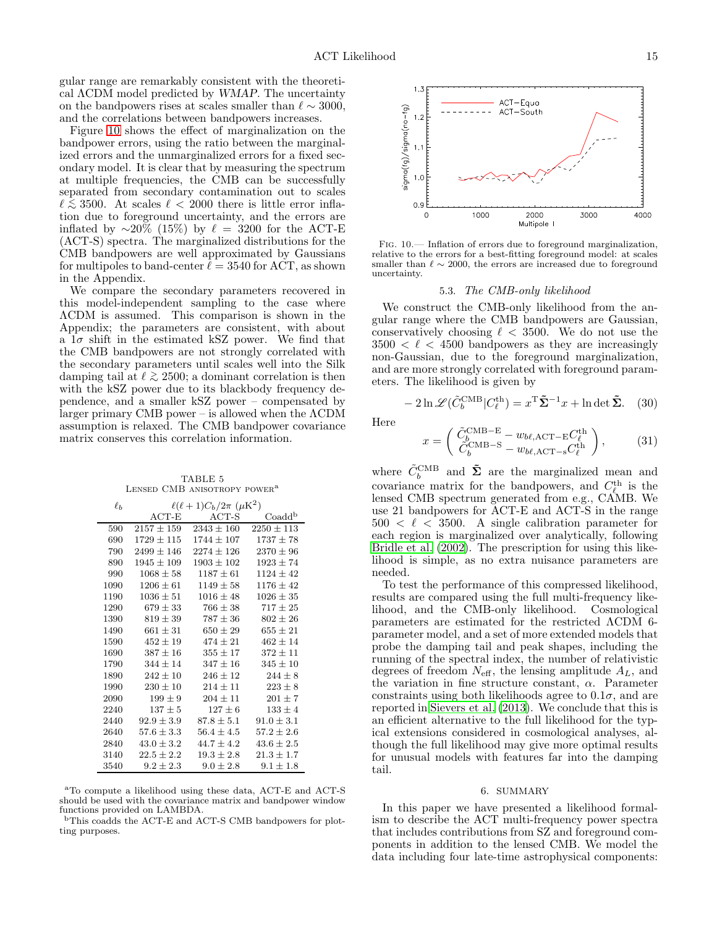gular range are remarkably consistent with the theoretical ΛCDM model predicted by WMAP. The uncertainty on the bandpowers rises at scales smaller than  $\ell \sim 3000$ , and the correlations between bandpowers increases.

Figure [10](#page-14-2) shows the effect of marginalization on the bandpower errors, using the ratio between the marginalized errors and the unmarginalized errors for a fixed secondary model. It is clear that by measuring the spectrum at multiple frequencies, the CMB can be successfully separated from secondary contamination out to scales  $\ell \lesssim 3500$ . At scales  $\ell < 2000$  there is little error infla-<br>tion due to foreground upcortainty, and the errors are tion due to foreground uncertainty, and the errors are inflated by  $\sim$ 20% (15%) by  $\ell = 3200$  for the ACT-E (ACT-S) spectra. The marginalized distributions for the CMB bandpowers are well approximated by Gaussians for multipoles to band-center  $\ell = 3540$  for ACT, as shown in the Appendix.

We compare the secondary parameters recovered in this model-independent sampling to the case where ΛCDM is assumed. This comparison is shown in the Appendix; the parameters are consistent, with about a  $1\sigma$  shift in the estimated kSZ power. We find that the CMB bandpowers are not strongly correlated with the secondary parameters until scales well into the Silk damping tail at  $\ell \gtrsim 2500$ ; a dominant correlation is then with the kSZ power due to its blockhody frequency dewith the kSZ power due to its blackbody frequency dependence, and a smaller kSZ power – compensated by larger primary CMB power – is allowed when the ΛCDM assumption is relaxed. The CMB bandpower covariance matrix conserves this correlation information.

TABLE 5 Lensed CMB anisotropy power<sup>a</sup>

<span id="page-14-1"></span>

| $\ell_h$ | $\ell(\ell+1)C_b/2\pi~(\mu{\rm K}^2)$ |                |                    |  |  |
|----------|---------------------------------------|----------------|--------------------|--|--|
|          | $ACT-E$                               | $ACT-S$        | Coadd <sup>b</sup> |  |  |
| 590      | $2157 \pm 159$                        | $2343 \pm 160$ | $2250 \pm 113$     |  |  |
| 690      | $1729 + 115$                          | $1744 + 107$   | $1737 \pm 78$      |  |  |
| 790      | $2499 + 146$                          | $2274 + 126$   | $2370 \pm 96$      |  |  |
| 890      | $1945 \pm 109$                        | $1903 \pm 102$ | $1923 \pm 74$      |  |  |
| 990      | $1068 \pm 58$                         | $1187 \pm 61$  | $1124 \pm 42$      |  |  |
| 1090     | $1206 \pm 61$                         | $1149 \pm 58$  | $1176 \pm 42$      |  |  |
| 1190     | $1036 \pm 51$                         | $1016 \pm 48$  | $1026 \pm 35$      |  |  |
| 1290     | $679 \pm 33$                          | $766 \pm 38$   | $717 \pm 25$       |  |  |
| 1390     | $819 \pm 39$                          | $787 \pm 36$   | $802 \pm 26$       |  |  |
| 1490     | $661 \pm 31$                          | $650 \pm 29$   | $655 \pm 21$       |  |  |
| 1590     | $452 \pm 19$                          | $474 \pm 21$   | $462 \pm 14$       |  |  |
| 1690     | $387 \pm 16$                          | $355 \pm 17$   | $372 \pm 11$       |  |  |
| 1790     | $344 \pm 14$                          | $347 + 16$     | $345 \pm 10$       |  |  |
| 1890     | $242 \pm 10$                          | $246 + 12$     | $244 \pm 8$        |  |  |
| 1990     | $230 \pm 10$                          | $214 \pm 11$   | $223 \pm 8$        |  |  |
| 2090     | $199 \pm 9$                           | $204 + 11$     | $201 \pm 7$        |  |  |
| 2240     | $137 \pm 5$                           | $127 \pm 6$    | $133 \pm 4$        |  |  |
| 2440     | $92.9 \pm 3.9$                        | $87.8 + 5.1$   | $91.0 \pm 3.1$     |  |  |
| 2640     | $57.6 \pm 3.3$                        | $56.4 \pm 4.5$ | $57.2 \pm 2.6$     |  |  |
| 2840     | $43.0 \pm 3.2$                        | $44.7 + 4.2$   | $43.6 \pm 2.5$     |  |  |
| 3140     | $22.5 \pm 2.2$                        | $19.3 \pm 2.8$ | $21.3 \pm 1.7$     |  |  |
| 3540     | $9.2 \pm 2.3$                         | $9.0 \pm 2.8$  | $9.1 \pm 1.8$      |  |  |

<sup>a</sup>To compute a likelihood using these data, ACT-E and ACT-S should be used with the covariance matrix and bandpower window functions provided on LAMBDA.

<sup>b</sup>This coadds the ACT-E and ACT-S CMB bandpowers for plotting purposes.



Fig. 10.— Inflation of errors due to foreground marginalization, relative to the errors for a best-fitting foreground model: at scales smaller than  $\ell \sim 2000$ , the errors are increased due to foreground uncertainty.

#### <span id="page-14-2"></span>5.3. The CMB-only likelihood

We construct the CMB-only likelihood from the angular range where the CMB bandpowers are Gaussian, conservatively choosing  $\ell < 3500$ . We do not use the  $3500 < \ell < 4500$  bandpowers as they are increasingly non-Gaussian, due to the foreground marginalization, and are more strongly correlated with foreground parameters. The likelihood is given by

$$
-2\ln\mathcal{L}(\tilde{C}_b^{\text{CMB}}|C_\ell^{\text{th}}) = x^{\text{T}}\tilde{\Sigma}^{-1}x + \ln\det\tilde{\Sigma}.
$$
 (30)

Here

$$
x = \begin{pmatrix} \tilde{C}_b^{\text{CMB-E}} - w_{b\ell,\text{ACT-E}} C_\ell^{\text{th}} \\ \tilde{C}_b^{\text{CMB-S}} - w_{b\ell,\text{ACT-S}} C_\ell^{\text{th}} \end{pmatrix}, \tag{31}
$$

where  $\tilde{C}_{b}^{\rm CMB}$  and  $\tilde{\Sigma}$  are the marginalized mean and covariance matrix for the bandpowers, and  $C_{\ell}^{\text{th}}$  is the lensed CMB spectrum generated from e.g., CAMB. We use 21 bandpowers for ACT-E and ACT-S in the range  $500 < \ell < 3500$ . A single calibration parameter for each region is marginalized over analytically, following Bridle et al. (2002). The prescription for using this likelihood is simple, as no extra nuisance parameters are needed.

To test the performance of this compressed likelihood, results are compared using the full multi-frequency likelihood, and the CMB-only likelihood. Cosmological parameters are estimated for the restricted ΛCDM 6 parameter model, and a set of more extended models that probe the damping tail and peak shapes, including the running of the spectral index, the number of relativistic degrees of freedom  $N_{\text{eff}}$ , the lensing amplitude  $A_L$ , and the variation in fine structure constant,  $\alpha$ . Parameter constraints using both likelihoods agree to  $0.1\sigma$ , and are reported in Sievers et al. (2013). We conclude that this is an efficient alternative to the full likelihood for the typical extensions considered in cosmological analyses, although the full likelihood may give more optimal results for unusual models with features far into the damping tail.

#### 6. SUMMARY

<span id="page-14-0"></span>In this paper we have presented a likelihood formalism to describe the ACT multi-frequency power spectra that includes contributions from SZ and foreground components in addition to the lensed CMB. We model the data including four late-time astrophysical components: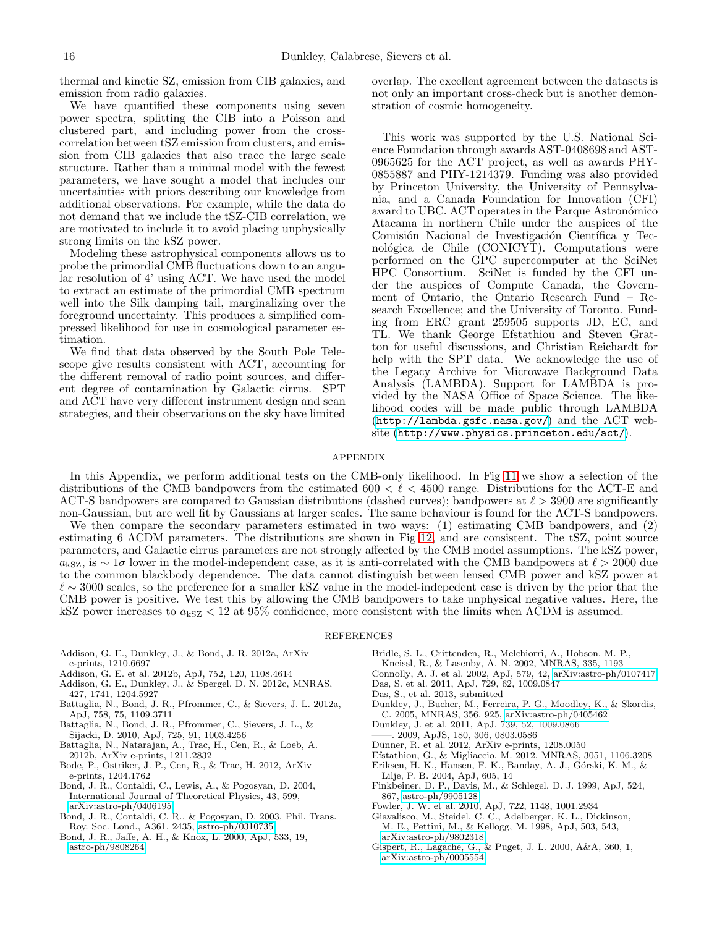thermal and kinetic SZ, emission from CIB galaxies, and emission from radio galaxies.

We have quantified these components using seven power spectra, splitting the CIB into a Poisson and clustered part, and including power from the crosscorrelation between tSZ emission from clusters, and emission from CIB galaxies that also trace the large scale structure. Rather than a minimal model with the fewest parameters, we have sought a model that includes our uncertainties with priors describing our knowledge from additional observations. For example, while the data do not demand that we include the tSZ-CIB correlation, we are motivated to include it to avoid placing unphysically strong limits on the kSZ power.

Modeling these astrophysical components allows us to probe the primordial CMB fluctuations down to an angular resolution of 4' using ACT. We have used the model to extract an estimate of the primordial CMB spectrum well into the Silk damping tail, marginalizing over the foreground uncertainty. This produces a simplified compressed likelihood for use in cosmological parameter estimation.

We find that data observed by the South Pole Telescope give results consistent with ACT, accounting for the different removal of radio point sources, and different degree of contamination by Galactic cirrus. SPT and ACT have very different instrument design and scan strategies, and their observations on the sky have limited

overlap. The excellent agreement between the datasets is not only an important cross-check but is another demonstration of cosmic homogeneity.

This work was supported by the U.S. National Science Foundation through awards AST-0408698 and AST-0965625 for the ACT project, as well as awards PHY-0855887 and PHY-1214379. Funding was also provided by Princeton University, the University of Pennsylvania, and a Canada Foundation for Innovation (CFI) award to UBC. ACT operates in the Parque Astronómico Atacama in northern Chile under the auspices of the Comisión Nacional de Investigación Científica y Tecnológica de Chile (CONICYT). Computations were performed on the GPC supercomputer at the SciNet HPC Consortium. SciNet is funded by the CFI under the auspices of Compute Canada, the Government of Ontario, the Ontario Research Fund – Research Excellence; and the University of Toronto. Funding from ERC grant 259505 supports JD, EC, and TL. We thank George Efstathiou and Steven Gratton for useful discussions, and Christian Reichardt for help with the SPT data. We acknowledge the use of the Legacy Archive for Microwave Background Data Analysis (LAMBDA). Support for LAMBDA is provided by the NASA Office of Space Science. The likelihood codes will be made public through LAMBDA (<http://lambda.gsfc.nasa.gov/>) and the ACT website (<http://www.physics.princeton.edu/act/>).

# APPENDIX

In this Appendix, we perform additional tests on the CMB-only likelihood. In Fig [11](#page-16-0) we show a selection of the distributions of the CMB bandpowers from the estimated  $600 < \ell < 4500$  range. Distributions for the ACT-E and ACT-S bandpowers are compared to Gaussian distributions (dashed curves); bandpowers at  $\ell > 3900$  are significantly non-Gaussian, but are well fit by Gaussians at larger scales. The same behaviour is found for the ACT-S bandpowers.

We then compare the secondary parameters estimated in two ways: (1) estimating CMB bandpowers, and (2) estimating 6 ΛCDM parameters. The distributions are shown in Fig [12,](#page-16-1) and are consistent. The tSZ, point source parameters, and Galactic cirrus parameters are not strongly affected by the CMB model assumptions. The kSZ power,  $a_{\rm kSZ}$ , is ∼ 1 $\sigma$  lower in the model-independent case, as it is anti-correlated with the CMB bandpowers at  $\ell > 2000$  due to the common blackbody dependence. The data cannot distinguish between lensed CMB power and kSZ power at  $\ell \sim 3000$  scales, so the preference for a smaller kSZ value in the model-indepedent case is driven by the prior that the CMB power is positive. We test this by allowing the CMB bandpowers to take unphysical negative values. Here, the kSZ power increases to  $a_{\rm kSZ}$  < 12 at 95% confidence, more consistent with the limits when  $\Lambda$ CDM is assumed.

### REFERENCES

- Addison, G. E., Dunkley, J., & Bond, J. R. 2012a, ArXiv e-prints, 1210.6697
- Addison, G. E. et al. 2012b, ApJ, 752, 120, 1108.4614
- Addison, G. E., Dunkley, J., & Spergel, D. N. 2012c, MNRAS,
- 427, 1741, 1204.5927
- Battaglia, N., Bond, J. R., Pfrommer, C., & Sievers, J. L. 2012a, ApJ, 758, 75, 1109.3711
- Battaglia, N., Bond, J. R., Pfrommer, C., Sievers, J. L., & Sijacki, D. 2010, ApJ, 725, 91, 1003.4256
- Battaglia, N., Natarajan, A., Trac, H., Cen, R., & Loeb, A. 2012b, ArXiv e-prints, 1211.2832
- Bode, P., Ostriker, J. P., Cen, R., & Trac, H. 2012, ArXiv e-prints, 1204.1762
- Bond, J. R., Contaldi, C., Lewis, A., & Pogosyan, D. 2004, International Journal of Theoretical Physics, 43, 599, [arXiv:astro-ph/0406195](http://arxiv.org/abs/astro-ph/0406195)
- Bond, J. R., Contaldi, C. R., & Pogosyan, D. 2003, Phil. Trans. Roy. Soc. Lond., A361, 2435, [astro-ph/0310735](http://arxiv.org/abs/astro-ph/0310735)
- Bond, J. R., Jaffe, A. H., & Knox, L. 2000, ApJ, 533, 19, [astro-ph/9808264](http://arxiv.org/abs/astro-ph/9808264)
- Bridle, S. L., Crittenden, R., Melchiorri, A., Hobson, M. P.,
- Kneissl, R., & Lasenby, A. N. 2002, MNRAS, 335, 1193
- Connolly, A. J. et al. 2002, ApJ, 579, 42, [arXiv:astro-ph/0107417](http://arxiv.org/abs/astro-ph/0107417)
- Das, S. et al. 2011, ApJ, 729, 62, 1009.0847
- Das, S., et al. 2013, submitted
- Dunkley, J., Bucher, M., Ferreira, P. G., Moodley, K., & Skordis, C. 2005, MNRAS, 356, 925, [arXiv:astro-ph/0405462](http://arxiv.org/abs/astro-ph/0405462)
- Dunkley, J. et al. 2011, ApJ, 739, 52, 1009.0866
- ——. 2009, ApJS, 180, 306, 0803.0586
- Dünner, R. et al. 2012, ArXiv e-prints, 1208.0050
- Efstathiou, G., & Migliaccio, M. 2012, MNRAS, 3051, 1106.3208
- Eriksen, H. K., Hansen, F. K., Banday, A. J., Górski, K. M., & Lilje, P. B. 2004, ApJ, 605, 14
- Finkbeiner, D. P., Davis, M., & Schlegel, D. J. 1999, ApJ, 524, 867, [astro-ph/9905128](http://arxiv.org/abs/astro-ph/9905128)
- Fowler, J. W. et al. 2010, ApJ, 722, 1148, 1001.2934
- Giavalisco, M., Steidel, C. C., Adelberger, K. L., Dickinson,
- M. E., Pettini, M., & Kellogg, M. 1998, ApJ, 503, 543, [arXiv:astro-ph/9802318](http://arxiv.org/abs/astro-ph/9802318)
- Gispert, R., Lagache, G., & Puget, J. L. 2000, A&A, 360, 1, [arXiv:astro-ph/0005554](http://arxiv.org/abs/astro-ph/0005554)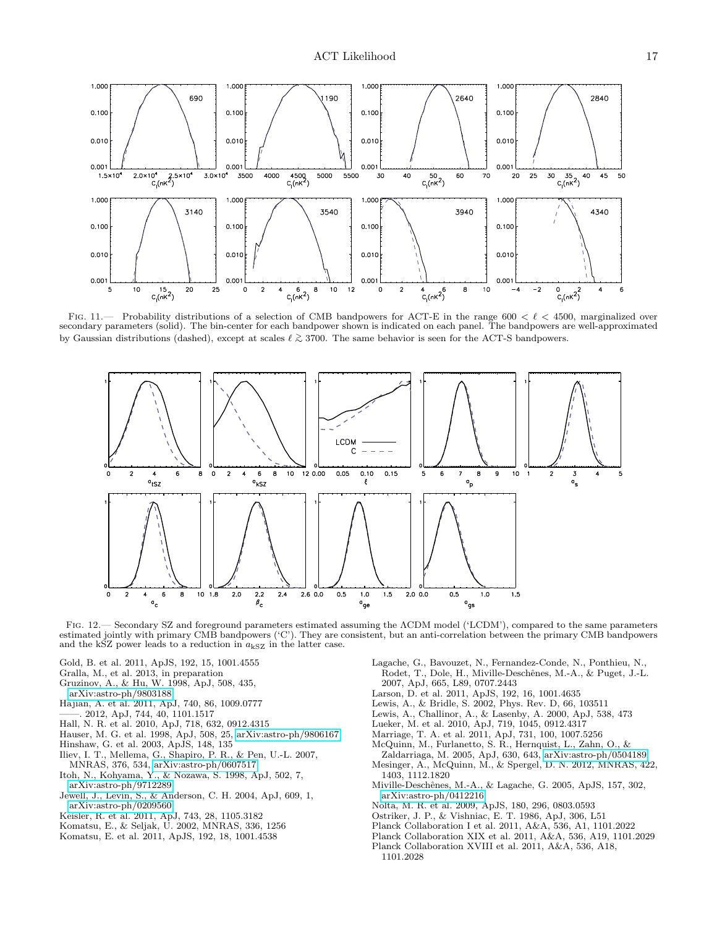

FIG. 11.— Probability distributions of a selection of CMB bandpowers for ACT-E in the range  $600 < \ell < 4500$ , marginalized over secondary parameters (solid). The bin-center for each bandpower shown is indicated on each panel. The bandpowers are well-approximated by Gaussian distributions (dashed), except at scales  $\ell \gtrsim 3700$ . The same behavior is seen for the ACT-S bandpowers.

<span id="page-16-0"></span>

<span id="page-16-1"></span>Fig. 12.— Secondary SZ and foreground parameters estimated assuming the ΛCDM model ('LCDM'), compared to the same parameters estimated jointly with primary CMB bandpowers ('C'). They are consistent, but an anti-correlation between the primary CMB bandpowers and the kSZ power leads to a reduction in  $a_{kSZ}$  in the latter case.

- Gold, B. et al. 2011, ApJS, 192, 15, 1001.4555
- Gralla, M., et al. 2013, in preparation
- Gruzinov, A., & Hu, W. 1998, ApJ, 508, 435,
- [arXiv:astro-ph/9803188](http://arxiv.org/abs/astro-ph/9803188)
- Hajian, A. et al. 2011, ApJ, 740, 86, 1009.0777
- ——. 2012, ApJ, 744, 40, 1101.1517
- Hall, N. R. et al. 2010, ApJ, 718, 632, 0912.4315
- Hauser, M. G. et al. 1998, ApJ, 508, 25, [arXiv:astro-ph/9806167](http://arxiv.org/abs/astro-ph/9806167)
- Hinshaw, G. et al. 2003, ApJS, 148, 135
- Iliev, I. T., Mellema, G., Shapiro, P. R., & Pen, U.-L. 2007,
- MNRAS, 376, 534, [arXiv:astro-ph/0607517](http://arxiv.org/abs/astro-ph/0607517)
- Itoh, N., Kohyama, Y., & Nozawa, S. 1998, ApJ, 502, 7, [arXiv:astro-ph/9712289](http://arxiv.org/abs/astro-ph/9712289)
- Jewell, J., Levin, S., & Anderson, C. H. 2004, ApJ, 609, 1, [arXiv:astro-ph/0209560](http://arxiv.org/abs/astro-ph/0209560)
- Keisler, R. et al. 2011, ApJ, 743, 28, 1105.3182
- Komatsu, E., & Seljak, U. 2002, MNRAS, 336, 1256
- Komatsu, E. et al. 2011, ApJS, 192, 18, 1001.4538
- Lagache, G., Bavouzet, N., Fernandez-Conde, N., Ponthieu, N., Rodet, T., Dole, H., Miville-Deschênes, M.-A., & Puget, J.-L. 2007, ApJ, 665, L89, 0707.2443
- Larson, D. et al. 2011, ApJS, 192, 16, 1001.4635
- Lewis, A., & Bridle, S. 2002, Phys. Rev. D, 66, 103511
- Lewis, A., Challinor, A., & Lasenby, A. 2000, ApJ, 538, 473
- Lueker, M. et al. 2010, ApJ, 719, 1045, 0912.4317
- 
- Marriage, T. A. et al. 2011, ApJ, 731, 100, 1007.5256
- McQuinn, M., Furlanetto, S. R., Hernquist, L., Zahn, O., &
- Zaldarriaga, M. 2005, ApJ, 630, 643, [arXiv:astro-ph/0504189](http://arxiv.org/abs/astro-ph/0504189) Mesinger, A., McQuinn, M., & Spergel, D. N. 2012, MNRAS, 422, 1403, 1112.1820
- Miville-Deschênes, M.-A., & Lagache, G. 2005, ApJS, 157, 302, [arXiv:astro-ph/0412216](http://arxiv.org/abs/astro-ph/0412216)
- Nolta, M. R. et al. 2009, ApJS, 180, 296, 0803.0593
- Ostriker, J. P., & Vishniac, E. T. 1986, ApJ, 306, L51
- Planck Collaboration I et al. 2011, A&A, 536, A1, 1101.2022
- Planck Collaboration XIX et al. 2011, A&A, 536, A19, 1101.2029
- Planck Collaboration XVIII et al. 2011, A&A, 536, A18, 1101.2028